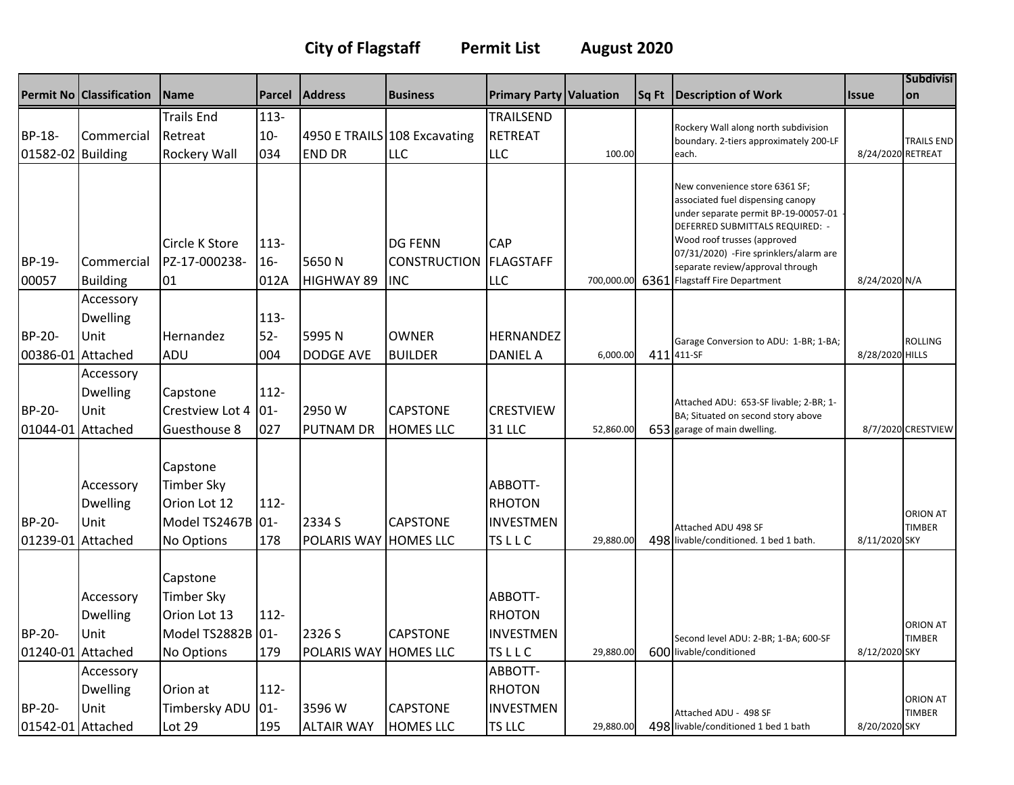## **City of Flagstaff Permit List August 2020**

|                             | <b>Permit No Classification</b>      | Name                                                                                    | Parcel                   | <b>Address</b>                  | <b>Business</b>                                     | <b>Primary Party Valuation</b>                               |            | Sq Ft | <b>Description of Work</b>                                                                                                                                                                                                                                                                     | <b>Issue</b>      | <b>Subdivisi</b><br>lon          |
|-----------------------------|--------------------------------------|-----------------------------------------------------------------------------------------|--------------------------|---------------------------------|-----------------------------------------------------|--------------------------------------------------------------|------------|-------|------------------------------------------------------------------------------------------------------------------------------------------------------------------------------------------------------------------------------------------------------------------------------------------------|-------------------|----------------------------------|
|                             |                                      | <b>Trails End</b>                                                                       | $113-$                   |                                 |                                                     | TRAILSEND                                                    |            |       | Rockery Wall along north subdivision                                                                                                                                                                                                                                                           |                   |                                  |
| BP-18-                      | Commercial                           | Retreat                                                                                 | $10-$                    |                                 | 4950 E TRAILS 108 Excavating                        | <b>RETREAT</b>                                               |            |       | boundary. 2-tiers approximately 200-LF                                                                                                                                                                                                                                                         |                   | <b>TRAILS END</b>                |
| 01582-02 Building           |                                      | Rockery Wall                                                                            | 034                      | <b>END DR</b>                   | <b>LLC</b>                                          | <b>LLC</b>                                                   | 100.00     |       | each.                                                                                                                                                                                                                                                                                          | 8/24/2020 RETREAT |                                  |
| BP-19-<br>00057             | Commercial<br><b>Building</b>        | Circle K Store<br>PZ-17-000238-<br>01                                                   | $113 -$<br>$16-$<br>012A | 5650N<br><b>HIGHWAY 89</b>      | <b>DG FENN</b><br><b>CONSTRUCTION</b><br><b>INC</b> | CAP<br><b>FLAGSTAFF</b><br><b>LLC</b>                        | 700,000.00 |       | New convenience store 6361 SF;<br>associated fuel dispensing canopy<br>under separate permit BP-19-00057-01<br>DEFERRED SUBMITTALS REQUIRED: -<br>Wood roof trusses (approved<br>07/31/2020) - Fire sprinklers/alarm are<br>separate review/approval through<br>6361 Flagstaff Fire Department | 8/24/2020 N/A     |                                  |
|                             | Accessory                            |                                                                                         |                          |                                 |                                                     |                                                              |            |       |                                                                                                                                                                                                                                                                                                |                   |                                  |
| BP-20-                      | <b>Dwelling</b><br>Unit              | Hernandez                                                                               | $113 -$<br>$52-$         | 5995N                           | <b>OWNER</b>                                        | <b>HERNANDEZ</b>                                             |            |       | Garage Conversion to ADU: 1-BR; 1-BA;                                                                                                                                                                                                                                                          |                   | <b>ROLLING</b>                   |
| 00386-01 Attached           |                                      | ADU                                                                                     | 004                      | <b>DODGE AVE</b>                | <b>BUILDER</b>                                      | <b>DANIEL A</b>                                              | 6,000.00   |       | 411 411-SF                                                                                                                                                                                                                                                                                     | 8/28/2020 HILLS   |                                  |
|                             | Accessory<br><b>Dwelling</b>         | Capstone                                                                                | $112 -$                  |                                 |                                                     |                                                              |            |       | Attached ADU: 653-SF livable; 2-BR; 1-                                                                                                                                                                                                                                                         |                   |                                  |
| BP-20-                      | Unit                                 | Crestview Lot 4                                                                         | $ 01 -$                  | 2950W                           | <b>CAPSTONE</b>                                     | <b>CRESTVIEW</b>                                             |            |       | BA; Situated on second story above                                                                                                                                                                                                                                                             |                   |                                  |
| 01044-01 Attached           |                                      | Guesthouse 8                                                                            | 027                      | PUTNAM DR                       | <b>HOMES LLC</b>                                    | 31 LLC                                                       | 52,860.00  |       | 653 garage of main dwelling.                                                                                                                                                                                                                                                                   |                   | 8/7/2020 CRESTVIEW               |
| BP-20-<br>01239-01 Attached | Accessory<br><b>Dwelling</b><br>Unit | Capstone<br><b>Timber Sky</b><br>Orion Lot 12<br>Model TS2467B 01-<br><b>No Options</b> | $112 -$<br>178           | 2334 S<br>POLARIS WAY HOMES LLC | <b>CAPSTONE</b>                                     | ABBOTT-<br><b>RHOTON</b><br><b>INVESTMEN</b><br><b>TSLLC</b> | 29,880.00  |       | Attached ADU 498 SF<br>498 livable/conditioned. 1 bed 1 bath.                                                                                                                                                                                                                                  | 8/11/2020 SKY     | <b>ORION AT</b><br><b>TIMBER</b> |
| BP-20-                      | Accessory<br><b>Dwelling</b><br>Unit | Capstone<br><b>Timber Sky</b><br>Orion Lot 13<br>Model TS2882B 01-                      | $112 -$                  | 2326 S                          | <b>CAPSTONE</b>                                     | ABBOTT-<br><b>RHOTON</b><br><b>INVESTMEN</b>                 |            |       | Second level ADU: 2-BR; 1-BA; 600-SF                                                                                                                                                                                                                                                           |                   | <b>ORION AT</b><br><b>TIMBER</b> |
| 01240-01 Attached           |                                      | No Options                                                                              | 179                      | POLARIS WAY HOMES LLC           |                                                     | <b>TSLLC</b>                                                 | 29,880.00  |       | 600 livable/conditioned                                                                                                                                                                                                                                                                        | 8/12/2020 SKY     |                                  |
|                             | Accessory                            |                                                                                         |                          |                                 |                                                     | ABBOTT-                                                      |            |       |                                                                                                                                                                                                                                                                                                |                   |                                  |
|                             | <b>Dwelling</b>                      | Orion at                                                                                | 112-                     |                                 |                                                     | <b>RHOTON</b>                                                |            |       |                                                                                                                                                                                                                                                                                                |                   | <b>ORION AT</b>                  |
| BP-20-                      | Unit                                 | Timbersky ADU                                                                           | $01 -$                   | 3596 W                          | <b>CAPSTONE</b>                                     | <b>INVESTMEN</b>                                             |            |       | Attached ADU - 498 SF                                                                                                                                                                                                                                                                          |                   | <b>TIMBER</b>                    |
| 01542-01 Attached           |                                      | Lot 29                                                                                  | 195                      | <b>ALTAIR WAY</b>               | <b>HOMES LLC</b>                                    | <b>TS LLC</b>                                                | 29,880.00  |       | 498 livable/conditioned 1 bed 1 bath                                                                                                                                                                                                                                                           | 8/20/2020 SKY     |                                  |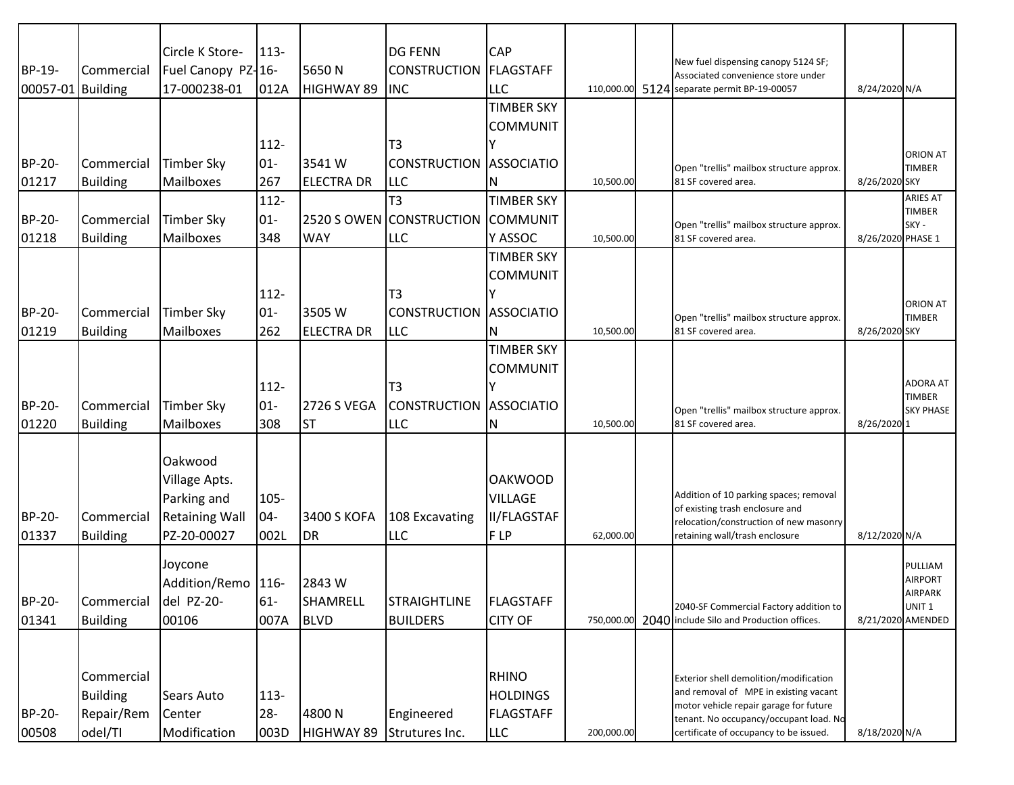|               |                 | Circle K Store-       | $113 -$ |                    | <b>DG FENN</b>           | <b>CAP</b>         |            |                                                                                     |                   |                                        |
|---------------|-----------------|-----------------------|---------|--------------------|--------------------------|--------------------|------------|-------------------------------------------------------------------------------------|-------------------|----------------------------------------|
| BP-19-        | Commercial      | Fuel Canopy PZ-16-    |         | 5650N              | <b>CONSTRUCTION</b>      | <b>FLAGSTAFF</b>   |            | New fuel dispensing canopy 5124 SF;<br>Associated convenience store under           |                   |                                        |
| 00057-01      | L Building      | 17-000238-01          | 012A    | HIGHWAY 89         | <b>INC</b>               | <b>LLC</b>         | 110,000.00 | 5124 separate permit BP-19-00057                                                    | 8/24/2020 N/A     |                                        |
|               |                 |                       |         |                    |                          | <b>TIMBER SKY</b>  |            |                                                                                     |                   |                                        |
|               |                 |                       |         |                    |                          | <b>COMMUNIT</b>    |            |                                                                                     |                   |                                        |
|               |                 |                       | 112-    |                    | T3                       |                    |            |                                                                                     |                   |                                        |
| BP-20-        | Commercial      | <b>Timber Sky</b>     | $01 -$  | 3541W              | <b>CONSTRUCTION</b>      | <b>ASSOCIATIO</b>  |            |                                                                                     |                   | <b>ORION AT</b>                        |
| 01217         | <b>Building</b> | Mailboxes             | 267     | <b>ELECTRA DR</b>  | <b>LLC</b>               | N                  | 10,500.00  | Open "trellis" mailbox structure approx.<br>81 SF covered area.                     | 8/26/2020 SKY     | <b>TIMBER</b>                          |
|               |                 |                       | $112 -$ |                    | T3                       | <b>TIMBER SKY</b>  |            |                                                                                     |                   | <b>ARIES AT</b>                        |
| <b>BP-20-</b> | Commercial      | <b>Timber Sky</b>     | $01 -$  |                    | 2520 S OWEN CONSTRUCTION | <b>COMMUNIT</b>    |            |                                                                                     |                   | <b>TIMBER</b>                          |
| 01218         | <b>Building</b> | Mailboxes             | 348     | <b>WAY</b>         | <b>LLC</b>               | Y ASSOC            | 10,500.00  | Open "trellis" mailbox structure approx.<br>81 SF covered area.                     | 8/26/2020 PHASE 1 | SKY -                                  |
|               |                 |                       |         |                    |                          | <b>TIMBER SKY</b>  |            |                                                                                     |                   |                                        |
|               |                 |                       |         |                    |                          | <b>COMMUNIT</b>    |            |                                                                                     |                   |                                        |
|               |                 |                       | 112-    |                    | T <sub>3</sub>           |                    |            |                                                                                     |                   |                                        |
| <b>BP-20-</b> |                 |                       | $01 -$  |                    |                          |                    |            |                                                                                     |                   | <b>ORION AT</b>                        |
|               | Commercial      | <b>Timber Sky</b>     |         | 3505 W             | <b>CONSTRUCTION</b>      | <b>ASSOCIATIO</b>  |            | Open "trellis" mailbox structure approx.                                            |                   | <b>TIMBER</b>                          |
| 01219         | <b>Building</b> | Mailboxes             | 262     | <b>ELECTRA DR</b>  | <b>LLC</b>               | N                  | 10,500.00  | 81 SF covered area.                                                                 | 8/26/2020 SKY     |                                        |
|               |                 |                       |         |                    |                          | <b>TIMBER SKY</b>  |            |                                                                                     |                   |                                        |
|               |                 |                       |         |                    |                          | <b>COMMUNIT</b>    |            |                                                                                     |                   | ADORA AT                               |
|               |                 |                       | 112-    |                    | T <sub>3</sub>           |                    |            |                                                                                     |                   | <b>TIMBER</b>                          |
| <b>BP-20-</b> | Commercial      | <b>Timber Sky</b>     | $01 -$  | <b>2726 S VEGA</b> | <b>CONSTRUCTION</b>      | <b>ASSOCIATIO</b>  |            | Open "trellis" mailbox structure approx.                                            |                   | <b>SKY PHASE</b>                       |
| 01220         | <b>Building</b> | Mailboxes             | 308     | <b>ST</b>          | <b>LLC</b>               | N                  | 10,500.00  | 81 SF covered area.                                                                 | 8/26/2020 1       |                                        |
|               |                 |                       |         |                    |                          |                    |            |                                                                                     |                   |                                        |
|               |                 | Oakwood               |         |                    |                          |                    |            |                                                                                     |                   |                                        |
|               |                 | Village Apts.         |         |                    |                          | <b>OAKWOOD</b>     |            |                                                                                     |                   |                                        |
|               |                 | Parking and           | 105-    |                    |                          | <b>VILLAGE</b>     |            | Addition of 10 parking spaces; removal<br>of existing trash enclosure and           |                   |                                        |
| <b>BP-20-</b> | Commercial      | <b>Retaining Wall</b> | $04-$   | 3400 S KOFA        | 108 Excavating           | <b>II/FLAGSTAF</b> |            | relocation/construction of new masonry                                              |                   |                                        |
| 01337         | <b>Building</b> | PZ-20-00027           | 002L    | DR                 | <b>LLC</b>               | F LP               | 62,000.00  | retaining wall/trash enclosure                                                      | 8/12/2020 N/A     |                                        |
|               |                 | Joycone               |         |                    |                          |                    |            |                                                                                     |                   | PULLIAM                                |
|               |                 | Addition/Remo 116-    |         | 2843 W             |                          |                    |            |                                                                                     |                   | <b>AIRPORT</b>                         |
| BP-20-        | Commercial      | del PZ-20-            | $61-$   | SHAMRELL           | <b>STRAIGHTLINE</b>      | FLAGSTAFF          |            |                                                                                     |                   | <b>AIRPARK</b>                         |
| 01341         | <b>Building</b> | 00106                 | 007A    | <b>BLVD</b>        | <b>BUILDERS</b>          | <b>CITY OF</b>     | 750.000.00 | 2040-SF Commercial Factory addition to<br>2040 include Silo and Production offices. |                   | UNIT <sub>1</sub><br>8/21/2020 AMENDED |
|               |                 |                       |         |                    |                          |                    |            |                                                                                     |                   |                                        |
|               |                 |                       |         |                    |                          |                    |            |                                                                                     |                   |                                        |
|               | Commercial      |                       |         |                    |                          | <b>RHINO</b>       |            |                                                                                     |                   |                                        |
|               |                 |                       |         |                    |                          | <b>HOLDINGS</b>    |            | Exterior shell demolition/modification<br>and removal of MPE in existing vacant     |                   |                                        |
|               | <b>Building</b> | Sears Auto            | $113 -$ | 4800N              |                          |                    |            | motor vehicle repair garage for future                                              |                   |                                        |
| BP-20-        | Repair/Rem      | Center                | $28 -$  |                    | Engineered               | <b>FLAGSTAFF</b>   |            | tenant. No occupancy/occupant load. No                                              |                   |                                        |
| 00508         | odel/TI         | Modification          | 003D    | HIGHWAY 89         | Strutures Inc.           | LLC                | 200,000.00 | certificate of occupancy to be issued.                                              | 8/18/2020 N/A     |                                        |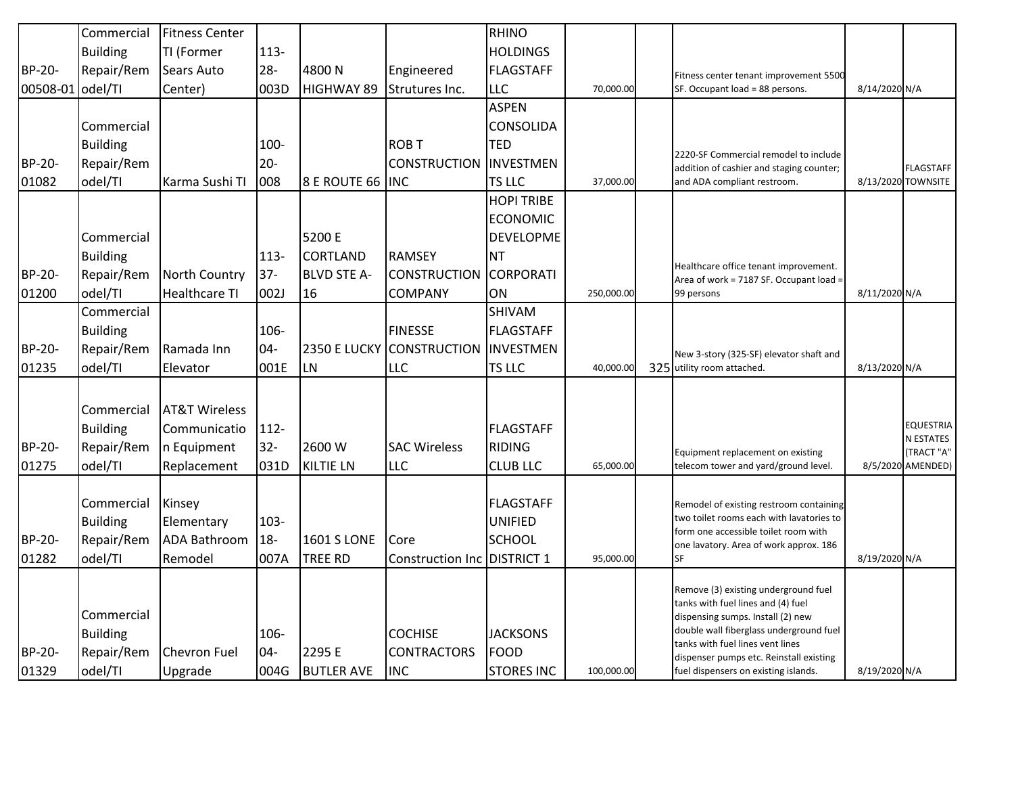|                  | Commercial      | <b>Fitness Center</b>    |         |                     |                               | <b>RHINO</b>      |            |                                                                                   |               |                                 |
|------------------|-----------------|--------------------------|---------|---------------------|-------------------------------|-------------------|------------|-----------------------------------------------------------------------------------|---------------|---------------------------------|
|                  | <b>Building</b> | TI (Former               | 113-    |                     |                               | <b>HOLDINGS</b>   |            |                                                                                   |               |                                 |
| BP-20-           | Repair/Rem      | Sears Auto               | $28 -$  | 4800N               | Engineered                    | FLAGSTAFF         |            | Fitness center tenant improvement 5500                                            |               |                                 |
| 00508-01 odel/TI |                 | Center)                  | 003D    | <b>HIGHWAY 89</b>   | Strutures Inc.                | LLC               | 70,000.00  | SF. Occupant load = 88 persons.                                                   | 8/14/2020 N/A |                                 |
|                  |                 |                          |         |                     |                               | <b>ASPEN</b>      |            |                                                                                   |               |                                 |
|                  | Commercial      |                          |         |                     |                               | <b>CONSOLIDA</b>  |            |                                                                                   |               |                                 |
|                  | <b>Building</b> |                          | 100-    |                     | <b>ROB T</b>                  | <b>TED</b>        |            |                                                                                   |               |                                 |
| BP-20-           | Repair/Rem      |                          | $20 -$  |                     | <b>CONSTRUCTION</b>           | INVESTMEN         |            | 2220-SF Commercial remodel to include<br>addition of cashier and staging counter; |               | <b>FLAGSTAFF</b>                |
| 01082            | odel/TI         | Karma Sushi TI           | 008     | 8 E ROUTE 66        | <b>INC</b>                    | TS LLC            | 37,000.00  | and ADA compliant restroom.                                                       |               | 8/13/2020 TOWNSITE              |
|                  |                 |                          |         |                     |                               | <b>HOPI TRIBE</b> |            |                                                                                   |               |                                 |
|                  |                 |                          |         |                     |                               | <b>ECONOMIC</b>   |            |                                                                                   |               |                                 |
|                  | Commercial      |                          |         | 5200 E              |                               | <b>DEVELOPME</b>  |            |                                                                                   |               |                                 |
|                  | <b>Building</b> |                          | $113 -$ | <b>CORTLAND</b>     | <b>RAMSEY</b>                 | <b>NT</b>         |            |                                                                                   |               |                                 |
| BP-20-           | Repair/Rem      | North Country            | $37-$   | <b>BLVD STE A-</b>  | <b>CONSTRUCTION</b>           | <b>CORPORATI</b>  |            | Healthcare office tenant improvement.<br>Area of work = 7187 SF. Occupant load =  |               |                                 |
| 01200            | odel/TI         | <b>Healthcare TI</b>     | 002J    | 16                  | <b>COMPANY</b>                | ON                | 250,000.00 | 99 persons                                                                        | 8/11/2020 N/A |                                 |
|                  | Commercial      |                          |         |                     |                               | <b>SHIVAM</b>     |            |                                                                                   |               |                                 |
|                  | <b>Building</b> |                          | 106-    |                     | <b>FINESSE</b>                | <b>FLAGSTAFF</b>  |            |                                                                                   |               |                                 |
| BP-20-           | Repair/Rem      | Ramada Inn               | $04 -$  | <b>2350 E LUCKY</b> | <b>CONSTRUCTION</b>           | <b>INVESTMEN</b>  |            | New 3-story (325-SF) elevator shaft and                                           |               |                                 |
| 01235            | odel/TI         | Elevator                 | 001E    | LN                  | <b>LLC</b>                    | TS LLC            | 40,000.00  | 325 utility room attached.                                                        | 8/13/2020 N/A |                                 |
|                  |                 |                          |         |                     |                               |                   |            |                                                                                   |               |                                 |
|                  | Commercial      | <b>AT&amp;T Wireless</b> |         |                     |                               |                   |            |                                                                                   |               |                                 |
|                  | <b>Building</b> | Communicatio             | $112-$  |                     |                               | FLAGSTAFF         |            |                                                                                   |               | <b>EQUESTRIA</b>                |
| <b>BP-20-</b>    | Repair/Rem      | n Equipment              | $32 -$  | 2600 W              | <b>SAC Wireless</b>           | <b>RIDING</b>     |            |                                                                                   |               | N ESTATES                       |
| 01275            | odel/TI         | Replacement              | 031D    | <b>KILTIE LN</b>    | <b>LLC</b>                    | <b>CLUB LLC</b>   | 65,000.00  | Equipment replacement on existing<br>telecom tower and yard/ground level.         |               | (TRACT "A"<br>8/5/2020 AMENDED) |
|                  |                 |                          |         |                     |                               |                   |            |                                                                                   |               |                                 |
|                  | Commercial      | Kinsey                   |         |                     |                               | <b>FLAGSTAFF</b>  |            | Remodel of existing restroom containing                                           |               |                                 |
|                  | <b>Building</b> | Elementary               | 103-    |                     |                               | <b>UNIFIED</b>    |            | two toilet rooms each with lavatories to                                          |               |                                 |
| BP-20-           | Repair/Rem      | <b>ADA Bathroom</b>      | $18-$   | 1601 S LONE         | Core                          | SCHOOL            |            | form one accessible toilet room with                                              |               |                                 |
| 01282            | odel/TI         | Remodel                  | 007A    | <b>TREE RD</b>      | Construction Inc   DISTRICT 1 |                   | 95,000.00  | one lavatory. Area of work approx. 186<br><b>SF</b>                               | 8/19/2020 N/A |                                 |
|                  |                 |                          |         |                     |                               |                   |            |                                                                                   |               |                                 |
|                  |                 |                          |         |                     |                               |                   |            | Remove (3) existing underground fuel                                              |               |                                 |
|                  | Commercial      |                          |         |                     |                               |                   |            | tanks with fuel lines and (4) fuel<br>dispensing sumps. Install (2) new           |               |                                 |
|                  | <b>Building</b> |                          | 106-    |                     | <b>COCHISE</b>                | <b>JACKSONS</b>   |            | double wall fiberglass underground fuel                                           |               |                                 |
| BP-20-           | Repair/Rem      | Chevron Fuel             | $04 -$  | 2295 E              | <b>CONTRACTORS</b>            | <b>FOOD</b>       |            | tanks with fuel lines vent lines                                                  |               |                                 |
| 01329            | odel/TI         | Upgrade                  | 004G    | <b>BUTLER AVE</b>   | <b>INC</b>                    | <b>STORES INC</b> | 100,000.00 | dispenser pumps etc. Reinstall existing<br>fuel dispensers on existing islands.   | 8/19/2020 N/A |                                 |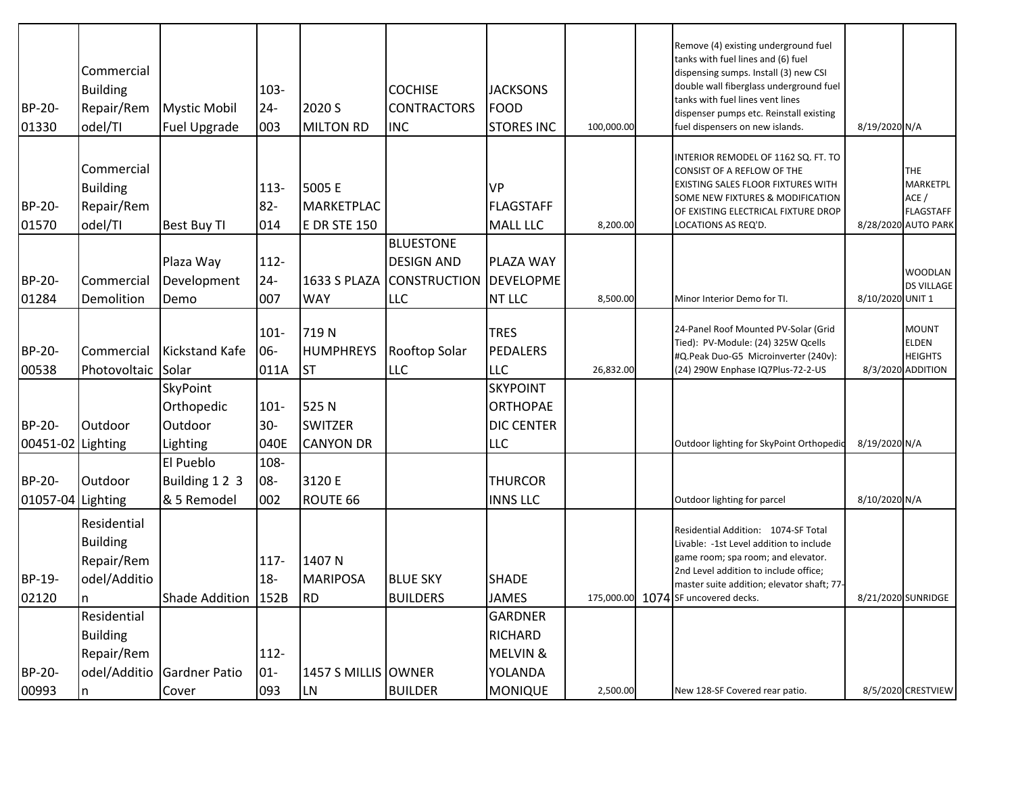| BP-20-<br>01330             | Commercial<br><b>Building</b><br>Repair/Rem<br>odel/TI       | <b>Mystic Mobil</b><br><b>Fuel Upgrade</b>    | 103-<br>$24 -$<br>003     | 2020 S<br><b>MILTON RD</b>                         | <b>COCHISE</b><br><b>CONTRACTORS</b><br><b>INC</b>                         | <b>JACKSONS</b><br><b>FOOD</b><br><b>STORES INC</b>            | 100,000.00 | Remove (4) existing underground fuel<br>tanks with fuel lines and (6) fuel<br>dispensing sumps. Install (3) new CSI<br>double wall fiberglass underground fuel<br>tanks with fuel lines vent lines<br>dispenser pumps etc. Reinstall existing<br>fuel dispensers on new islands. | 8/19/2020 N/A      |                                                                           |
|-----------------------------|--------------------------------------------------------------|-----------------------------------------------|---------------------------|----------------------------------------------------|----------------------------------------------------------------------------|----------------------------------------------------------------|------------|----------------------------------------------------------------------------------------------------------------------------------------------------------------------------------------------------------------------------------------------------------------------------------|--------------------|---------------------------------------------------------------------------|
| BP-20-<br>01570             | Commercial<br><b>Building</b><br>Repair/Rem<br>odel/TI       | <b>Best Buy TI</b>                            | $113 -$<br>$82 -$<br>014  | 5005 E<br><b>MARKETPLAC</b><br><b>E DR STE 150</b> |                                                                            | <b>VP</b><br><b>FLAGSTAFF</b><br><b>MALL LLC</b>               | 8,200.00   | INTERIOR REMODEL OF 1162 SQ. FT. TO<br>CONSIST OF A REFLOW OF THE<br>EXISTING SALES FLOOR FIXTURES WITH<br>SOME NEW FIXTURES & MODIFICATION<br>OF EXISTING ELECTRICAL FIXTURE DROP<br>LOCATIONS AS REQ'D.                                                                        |                    | <b>THE</b><br>MARKETPL<br>ACE/<br><b>FLAGSTAFF</b><br>8/28/2020 AUTO PARK |
| BP-20-<br>01284             | Commercial<br>Demolition                                     | Plaza Way<br>Development<br>Demo              | 112-<br>$24 -$<br>007     | 1633 S PLAZA<br><b>WAY</b>                         | <b>BLUESTONE</b><br><b>DESIGN AND</b><br><b>CONSTRUCTION</b><br><b>LLC</b> | PLAZA WAY<br><b>DEVELOPME</b><br>NT LLC                        | 8,500.00   | Minor Interior Demo for TI.                                                                                                                                                                                                                                                      | 8/10/2020 UNIT 1   | WOODLAN<br><b>DS VILLAGE</b>                                              |
| BP-20-<br>00538             | Commercial<br>Photovoltaic Solar                             | <b>Kickstand Kafe</b>                         | $101 -$<br>06-<br>011A    | 719N<br><b>HUMPHREYS</b><br><b>ST</b>              | Rooftop Solar<br><b>LLC</b>                                                | <b>TRES</b><br><b>PEDALERS</b><br><b>LLC</b>                   | 26,832.00  | 24-Panel Roof Mounted PV-Solar (Grid<br>Tied): PV-Module: (24) 325W Qcells<br>#Q.Peak Duo-G5 Microinverter (240v):<br>(24) 290W Enphase IQ7Plus-72-2-US                                                                                                                          |                    | <b>MOUNT</b><br><b>ELDEN</b><br><b>HEIGHTS</b><br>8/3/2020 ADDITION       |
| BP-20-<br>00451-02 Lighting | Outdoor                                                      | SkyPoint<br>Orthopedic<br>Outdoor<br>Lighting | $101 -$<br>$30 -$<br>040E | 525N<br><b>SWITZER</b><br><b>CANYON DR</b>         |                                                                            | <b>SKYPOINT</b><br><b>ORTHOPAE</b><br><b>DIC CENTER</b><br>LLC |            | Outdoor lighting for SkyPoint Orthopedic                                                                                                                                                                                                                                         | 8/19/2020 N/A      |                                                                           |
| BP-20-<br>01057-04 Lighting | Outdoor                                                      | El Pueblo<br>Building 12 3<br>& 5 Remodel     | 108-<br>08-<br>002        | 3120 E<br>ROUTE 66                                 |                                                                            | <b>THURCOR</b><br><b>INNS LLC</b>                              |            | Outdoor lighting for parcel                                                                                                                                                                                                                                                      | 8/10/2020 N/A      |                                                                           |
| BP-19-<br>02120             | Residential<br><b>Building</b><br>Repair/Rem<br>odel/Additio | Shade Addition   152B                         | 117-<br>$18-$             | 1407 N<br><b>MARIPOSA</b><br>RD                    | <b>BLUE SKY</b><br><b>BUILDERS</b>                                         | <b>SHADE</b><br><b>JAMES</b>                                   |            | Residential Addition: 1074-SF Total<br>Livable: -1st Level addition to include<br>game room; spa room; and elevator.<br>2nd Level addition to include office;<br>master suite addition; elevator shaft; 77-<br>175,000.00 1074 SF uncovered decks.                               |                    | 8/21/2020 SUNRIDGE                                                        |
| BP-20-                      | Residential<br><b>Building</b><br>Repair/Rem                 | odel/Additio Gardner Patio                    | 112-<br>$01 -$            | 1457 S MILLIS OWNER                                |                                                                            | <b>GARDNER</b><br><b>RICHARD</b><br>MELVIN &<br>YOLANDA        |            |                                                                                                                                                                                                                                                                                  |                    |                                                                           |
| 00993                       | n                                                            | Cover                                         | 093                       | <b>LN</b>                                          | <b>BUILDER</b>                                                             | <b>MONIQUE</b>                                                 | 2,500.00   | New 128-SF Covered rear patio.                                                                                                                                                                                                                                                   | 8/5/2020 CRESTVIEW |                                                                           |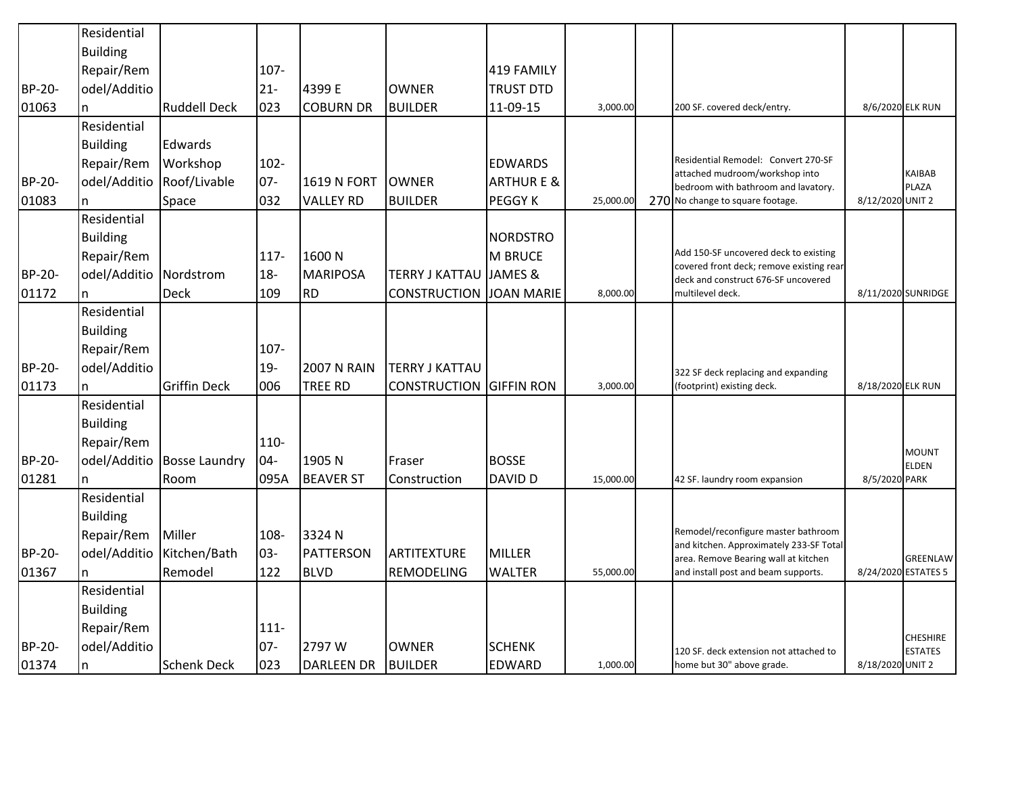|        | Residential     |                      |         |                    |                                |                      |           |                                                                                 |                   |                                        |
|--------|-----------------|----------------------|---------|--------------------|--------------------------------|----------------------|-----------|---------------------------------------------------------------------------------|-------------------|----------------------------------------|
|        | <b>Building</b> |                      |         |                    |                                |                      |           |                                                                                 |                   |                                        |
|        | Repair/Rem      |                      | $107 -$ |                    |                                | 419 FAMILY           |           |                                                                                 |                   |                                        |
| BP-20- | odel/Additio    |                      | $21 -$  | 4399 E             | <b>OWNER</b>                   | <b>TRUST DTD</b>     |           |                                                                                 |                   |                                        |
| 01063  |                 | <b>Ruddell Deck</b>  | 023     | <b>COBURN DR</b>   | <b>BUILDER</b>                 | 11-09-15             | 3,000.00  | 200 SF. covered deck/entry.                                                     | 8/6/2020 ELK RUN  |                                        |
|        | Residential     |                      |         |                    |                                |                      |           |                                                                                 |                   |                                        |
|        | <b>Building</b> | Edwards              |         |                    |                                |                      |           |                                                                                 |                   |                                        |
|        | Repair/Rem      | Workshop             | $102 -$ |                    |                                | <b>EDWARDS</b>       |           | Residential Remodel: Convert 270-SF<br>attached mudroom/workshop into           |                   | <b>KAIBAB</b>                          |
| BP-20- | odel/Additio    | Roof/Livable         | $07 -$  | <b>1619 N FORT</b> | <b>OWNER</b>                   | <b>ARTHURE &amp;</b> |           | bedroom with bathroom and lavatory.                                             |                   | <b>PLAZA</b>                           |
| 01083  | n               | Space                | 032     | <b>VALLEY RD</b>   | <b>BUILDER</b>                 | PEGGY K              | 25,000.00 | 270 No change to square footage.                                                | 8/12/2020 UNIT 2  |                                        |
|        | Residential     |                      |         |                    |                                |                      |           |                                                                                 |                   |                                        |
|        | <b>Building</b> |                      |         |                    |                                | <b>NORDSTRO</b>      |           |                                                                                 |                   |                                        |
|        | Repair/Rem      |                      | 117-    | 1600N              |                                | <b>M BRUCE</b>       |           | Add 150-SF uncovered deck to existing                                           |                   |                                        |
| BP-20- | odel/Additio    | Nordstrom            | $18 -$  | <b>MARIPOSA</b>    | <b>TERRY J KATTAU</b>          | JAMES &              |           | covered front deck; remove existing rear<br>deck and construct 676-SF uncovered |                   |                                        |
| 01172  |                 | <b>Deck</b>          | 109     | <b>RD</b>          | <b>CONSTRUCTION</b>            | <b>JOAN MARIE</b>    | 8,000.00  | multilevel deck.                                                                |                   | 8/11/2020 SUNRIDGE                     |
|        | Residential     |                      |         |                    |                                |                      |           |                                                                                 |                   |                                        |
|        | <b>Building</b> |                      |         |                    |                                |                      |           |                                                                                 |                   |                                        |
|        | Repair/Rem      |                      | 107-    |                    |                                |                      |           |                                                                                 |                   |                                        |
| BP-20- | odel/Additio    |                      | $19 -$  | <b>2007 N RAIN</b> | <b>TERRY J KATTAU</b>          |                      |           | 322 SF deck replacing and expanding                                             |                   |                                        |
| 01173  |                 | <b>Griffin Deck</b>  | 006     | <b>TREE RD</b>     | <b>CONSTRUCTION GIFFIN RON</b> |                      | 3,000.00  | (footprint) existing deck.                                                      | 8/18/2020 ELK RUN |                                        |
|        | Residential     |                      |         |                    |                                |                      |           |                                                                                 |                   |                                        |
|        | <b>Building</b> |                      |         |                    |                                |                      |           |                                                                                 |                   |                                        |
|        | Repair/Rem      |                      | 110-    |                    |                                |                      |           |                                                                                 |                   |                                        |
| BP-20- | odel/Additio    | <b>Bosse Laundry</b> | $04 -$  | 1905 N             | Fraser                         | <b>BOSSE</b>         |           |                                                                                 |                   | <b>MOUNT</b>                           |
| 01281  | n               | Room                 | 095A    | <b>BEAVER ST</b>   | Construction                   | DAVID D              | 15,000.00 | 42 SF. laundry room expansion                                                   | 8/5/2020 PARK     | <b>ELDEN</b>                           |
|        | Residential     |                      |         |                    |                                |                      |           |                                                                                 |                   |                                        |
|        | <b>Building</b> |                      |         |                    |                                |                      |           |                                                                                 |                   |                                        |
|        | Repair/Rem      | Miller               | 108-    | 3324 N             |                                |                      |           | Remodel/reconfigure master bathroom                                             |                   |                                        |
| BP-20- | odel/Additio    | Kitchen/Bath         | 03-     | <b>PATTERSON</b>   | <b>ARTITEXTURE</b>             | <b>MILLER</b>        |           | and kitchen. Approximately 233-SF Total                                         |                   |                                        |
| 01367  |                 | Remodel              | 122     | <b>BLVD</b>        | REMODELING                     | <b>WALTER</b>        | 55,000.00 | area. Remove Bearing wall at kitchen<br>and install post and beam supports.     |                   | <b>GREENLAW</b><br>8/24/2020 ESTATES 5 |
|        | Residential     |                      |         |                    |                                |                      |           |                                                                                 |                   |                                        |
|        |                 |                      |         |                    |                                |                      |           |                                                                                 |                   |                                        |
|        | <b>Building</b> |                      |         |                    |                                |                      |           |                                                                                 |                   |                                        |
|        | Repair/Rem      |                      | $111 -$ |                    |                                |                      |           |                                                                                 |                   | <b>CHESHIRE</b>                        |
| BP-20- | odel/Additio    |                      | $07 -$  | 2797 W             | <b>OWNER</b>                   | <b>SCHENK</b>        |           | 120 SF. deck extension not attached to                                          |                   | <b>ESTATES</b>                         |
| 01374  | n               | <b>Schenk Deck</b>   | 023     | <b>DARLEEN DR</b>  | <b>BUILDER</b>                 | EDWARD               | 1,000.00  | home but 30" above grade.                                                       | 8/18/2020 UNIT 2  |                                        |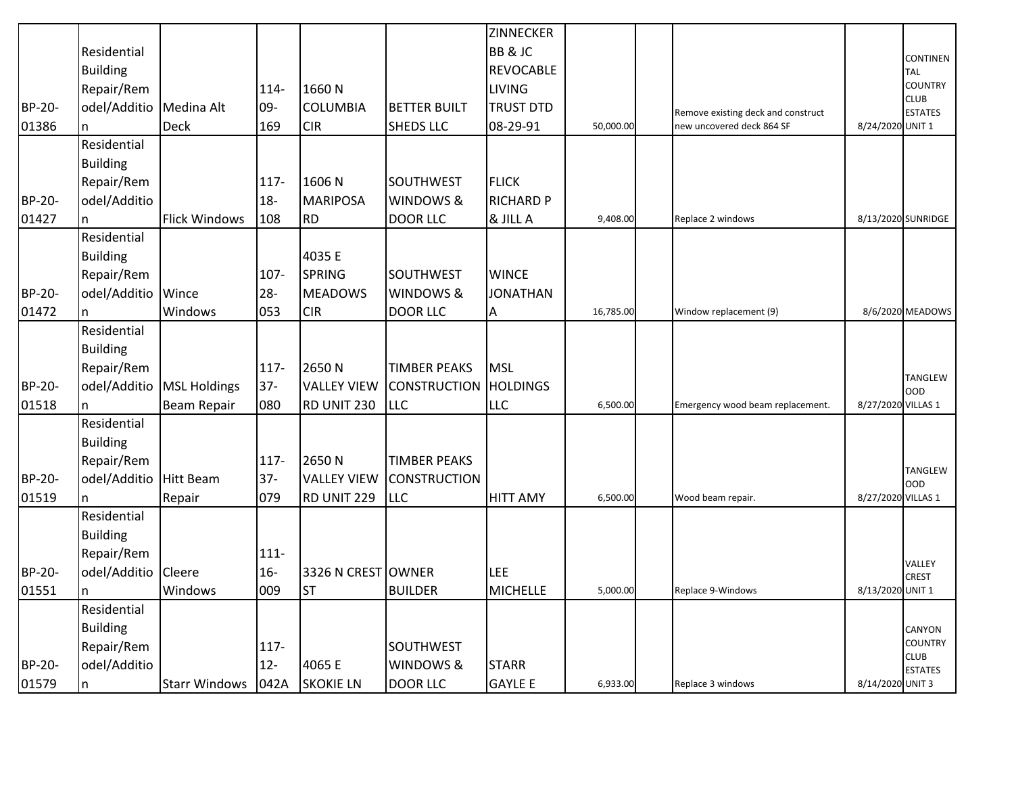|               |                        |                      |         |                    |                     | ZINNECKER        |           |                                    |                    |                               |
|---------------|------------------------|----------------------|---------|--------------------|---------------------|------------------|-----------|------------------------------------|--------------------|-------------------------------|
|               | Residential            |                      |         |                    |                     | BB & JC          |           |                                    |                    | CONTINEN                      |
|               | <b>Building</b>        |                      |         |                    |                     | <b>REVOCABLE</b> |           |                                    |                    | <b>TAL</b>                    |
|               | Repair/Rem             |                      | 114-    | 1660N              |                     | <b>LIVING</b>    |           |                                    |                    | <b>COUNTRY</b>                |
| BP-20-        | odel/Additio           | Medina Alt           | 09-     | <b>COLUMBIA</b>    | <b>BETTER BUILT</b> | <b>TRUST DTD</b> |           | Remove existing deck and construct |                    | <b>CLUB</b><br><b>ESTATES</b> |
| 01386         | n                      | <b>Deck</b>          | 169     | <b>CIR</b>         | <b>SHEDS LLC</b>    | 08-29-91         | 50,000.00 | new uncovered deck 864 SF          | 8/24/2020 UNIT 1   |                               |
|               | Residential            |                      |         |                    |                     |                  |           |                                    |                    |                               |
|               | <b>Building</b>        |                      |         |                    |                     |                  |           |                                    |                    |                               |
|               | Repair/Rem             |                      | 117-    | 1606N              | <b>SOUTHWEST</b>    | <b>FLICK</b>     |           |                                    |                    |                               |
| BP-20-        | odel/Additio           |                      | $18-$   | <b>MARIPOSA</b>    | WINDOWS &           | <b>RICHARD P</b> |           |                                    |                    |                               |
| 01427         | n                      | <b>Flick Windows</b> | 108     | <b>RD</b>          | <b>DOOR LLC</b>     | & JILL A         | 9,408.00  | Replace 2 windows                  |                    | 8/13/2020 SUNRIDGE            |
|               | Residential            |                      |         |                    |                     |                  |           |                                    |                    |                               |
|               | <b>Building</b>        |                      |         | 4035 E             |                     |                  |           |                                    |                    |                               |
|               | Repair/Rem             |                      | 107-    | <b>SPRING</b>      | <b>SOUTHWEST</b>    | <b>WINCE</b>     |           |                                    |                    |                               |
| <b>BP-20-</b> | odel/Additio           | Wince                | $28 -$  | <b>MEADOWS</b>     | WINDOWS &           | <b>JONATHAN</b>  |           |                                    |                    |                               |
| 01472         | n.                     | Windows              | 053     | <b>CIR</b>         | <b>DOOR LLC</b>     | Α                | 16,785.00 | Window replacement (9)             |                    | 8/6/2020 MEADOWS              |
|               | Residential            |                      |         |                    |                     |                  |           |                                    |                    |                               |
|               | <b>Building</b>        |                      |         |                    |                     |                  |           |                                    |                    |                               |
|               | Repair/Rem             |                      | 117-    | 2650N              | <b>TIMBER PEAKS</b> | <b>MSL</b>       |           |                                    |                    | <b>TANGLEW</b>                |
| BP-20-        | odel/Additio           | <b>MSL Holdings</b>  | $37 -$  | <b>VALLEY VIEW</b> | <b>CONSTRUCTION</b> | <b>HOLDINGS</b>  |           |                                    |                    | <b>OOD</b>                    |
| 01518         | In.                    | <b>Beam Repair</b>   | 080     | RD UNIT 230        | <b>LLC</b>          | LLC              | 6,500.00  | Emergency wood beam replacement.   | 8/27/2020 VILLAS 1 |                               |
|               | Residential            |                      |         |                    |                     |                  |           |                                    |                    |                               |
|               | <b>Building</b>        |                      |         |                    |                     |                  |           |                                    |                    |                               |
|               | Repair/Rem             |                      | 117-    | 2650N              | <b>TIMBER PEAKS</b> |                  |           |                                    |                    |                               |
| <b>BP-20-</b> | odel/Additio Hitt Beam |                      | $37 -$  | <b>VALLEY VIEW</b> | <b>CONSTRUCTION</b> |                  |           |                                    |                    | TANGLEW<br><b>OOD</b>         |
| 01519         |                        | Repair               | 079     | RD UNIT 229        | <b>LLC</b>          | <b>HITT AMY</b>  | 6,500.00  | Wood beam repair.                  | 8/27/2020 VILLAS 1 |                               |
|               | Residential            |                      |         |                    |                     |                  |           |                                    |                    |                               |
|               | <b>Building</b>        |                      |         |                    |                     |                  |           |                                    |                    |                               |
|               | Repair/Rem             |                      | $111 -$ |                    |                     |                  |           |                                    |                    |                               |
| BP-20-        | odel/Additio           | Cleere               | $16 -$  | 3326 N CREST OWNER |                     | <b>LEE</b>       |           |                                    |                    | VALLEY<br><b>CREST</b>        |
| 01551         | n                      | Windows              | 009     | <b>ST</b>          | <b>BUILDER</b>      | <b>MICHELLE</b>  | 5,000.00  | Replace 9-Windows                  | 8/13/2020 UNIT 1   |                               |
|               | Residential            |                      |         |                    |                     |                  |           |                                    |                    |                               |
|               | <b>Building</b>        |                      |         |                    |                     |                  |           |                                    |                    | CANYON                        |
|               | Repair/Rem             |                      | $117 -$ |                    | <b>SOUTHWEST</b>    |                  |           |                                    |                    | <b>COUNTRY</b>                |
| BP-20-        | odel/Additio           |                      | $12 -$  | 4065 E             | WINDOWS &           | <b>STARR</b>     |           |                                    |                    | <b>CLUB</b><br><b>ESTATES</b> |
| 01579         | In.                    | Starr Windows   042A |         | <b>SKOKIE LN</b>   | <b>DOOR LLC</b>     | <b>GAYLE E</b>   | 6,933.00  | Replace 3 windows                  | 8/14/2020 UNIT 3   |                               |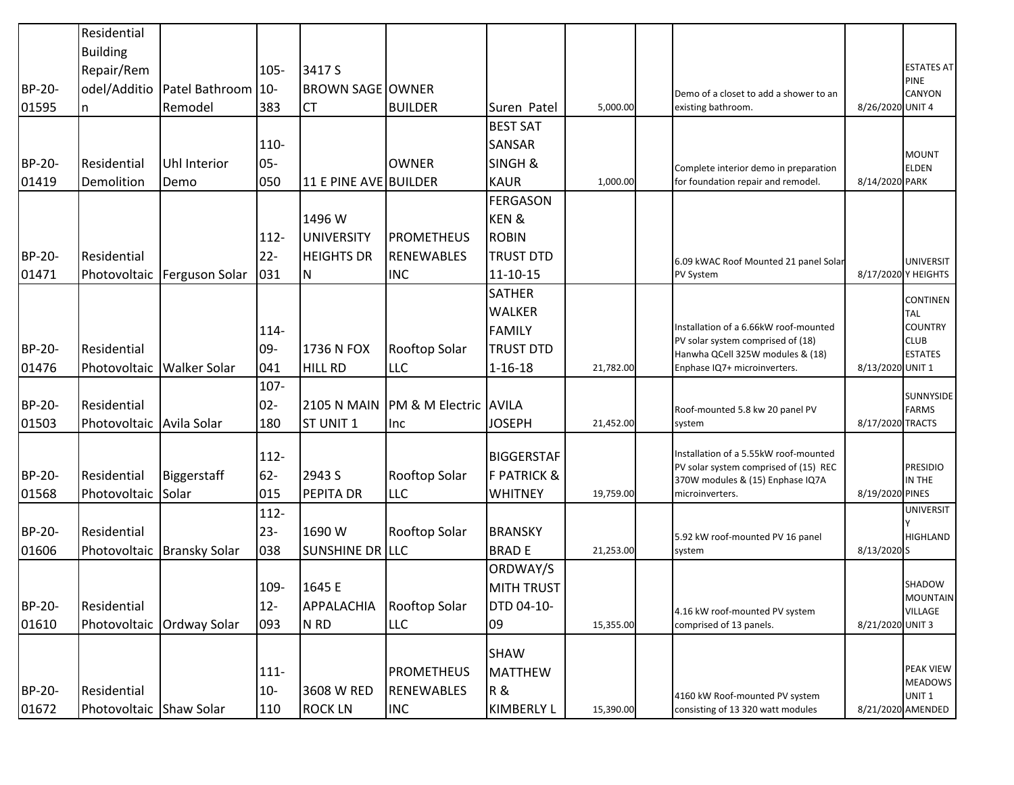|        | Residential              |                             |         |                         |                       |                        |           |                                                                            |                  |                               |
|--------|--------------------------|-----------------------------|---------|-------------------------|-----------------------|------------------------|-----------|----------------------------------------------------------------------------|------------------|-------------------------------|
|        | <b>Building</b>          |                             |         |                         |                       |                        |           |                                                                            |                  | <b>ESTATES AT</b>             |
|        | Repair/Rem               |                             | $105 -$ | 3417 S                  |                       |                        |           |                                                                            |                  | PINE                          |
| BP-20- | odel/Additio             | Patel Bathroom 10-          |         | <b>BROWN SAGE OWNER</b> |                       |                        |           | Demo of a closet to add a shower to an                                     |                  | CANYON                        |
| 01595  | n                        | Remodel                     | 383     | <b>CT</b>               | <b>BUILDER</b>        | Suren Patel            | 5,000.00  | existing bathroom.                                                         | 8/26/2020 UNIT 4 |                               |
|        |                          |                             |         |                         |                       | <b>BEST SAT</b>        |           |                                                                            |                  |                               |
|        |                          |                             | 110-    |                         |                       | <b>SANSAR</b>          |           |                                                                            |                  | <b>MOUNT</b>                  |
| BP-20- | Residential              | <b>Uhl Interior</b>         | $05 -$  |                         | <b>OWNER</b>          | SINGH &                |           | Complete interior demo in preparation                                      |                  | <b>ELDEN</b>                  |
| 01419  | Demolition               | Demo                        | 050     | 11 E PINE AVE BUILDER   |                       | <b>KAUR</b>            | 1,000.00  | for foundation repair and remodel.                                         | 8/14/2020 PARK   |                               |
|        |                          |                             |         |                         |                       | <b>FERGASON</b>        |           |                                                                            |                  |                               |
|        |                          |                             |         | 1496 W                  |                       | KEN&                   |           |                                                                            |                  |                               |
|        |                          |                             | $112 -$ | <b>UNIVERSITY</b>       | <b>PROMETHEUS</b>     | <b>ROBIN</b>           |           |                                                                            |                  |                               |
| BP-20- | Residential              |                             | $22 -$  | <b>HEIGHTS DR</b>       | <b>RENEWABLES</b>     | <b>TRUST DTD</b>       |           | 6.09 kWAC Roof Mounted 21 panel Solar                                      |                  | <b>UNIVERSIT</b>              |
| 01471  |                          | Photovoltaic Ferguson Solar | 031     | N                       | <b>INC</b>            | 11-10-15               |           | PV System                                                                  |                  | 8/17/2020 Y HEIGHTS           |
|        |                          |                             |         |                         |                       | <b>SATHER</b>          |           |                                                                            |                  | <b>CONTINEN</b>               |
|        |                          |                             |         |                         |                       | <b>WALKER</b>          |           |                                                                            |                  | TAL                           |
|        |                          |                             | 114-    |                         |                       | <b>FAMILY</b>          |           | Installation of a 6.66kW roof-mounted<br>PV solar system comprised of (18) |                  | <b>COUNTRY</b><br><b>CLUB</b> |
| BP-20- | Residential              |                             | 09-     | 1736 N FOX              | Rooftop Solar         | <b>TRUST DTD</b>       |           | Hanwha QCell 325W modules & (18)                                           |                  | <b>ESTATES</b>                |
| 01476  |                          | Photovoltaic   Walker Solar | 041     | <b>HILL RD</b>          | <b>LLC</b>            | $1 - 16 - 18$          | 21,782.00 | Enphase IQ7+ microinverters.                                               | 8/13/2020 UNIT 1 |                               |
|        |                          |                             | 107-    |                         |                       |                        |           |                                                                            |                  |                               |
| BP-20- | Residential              |                             | $02 -$  | <b>2105 N MAIN</b>      | PM & M Electric AVILA |                        |           | Roof-mounted 5.8 kw 20 panel PV                                            |                  | SUNNYSIDE<br><b>FARMS</b>     |
| 01503  | Photovoltaic Avila Solar |                             | 180     | ST UNIT 1               | Inc                   | <b>JOSEPH</b>          | 21,452.00 | system                                                                     | 8/17/2020 TRACTS |                               |
|        |                          |                             | 112-    |                         |                       | <b>BIGGERSTAF</b>      |           | Installation of a 5.55kW roof-mounted                                      |                  |                               |
| BP-20- | Residential              | Biggerstaff                 | $62 -$  | 2943 S                  | Rooftop Solar         | <b>F PATRICK &amp;</b> |           | PV solar system comprised of (15) REC                                      |                  | <b>PRESIDIO</b>               |
| 01568  | Photovoltaic Solar       |                             | 015     | PEPITA DR               | <b>LLC</b>            | <b>WHITNEY</b>         | 19,759.00 | 370W modules & (15) Enphase IQ7A<br>microinverters.                        | 8/19/2020 PINES  | IN THE                        |
|        |                          |                             | $112-$  |                         |                       |                        |           |                                                                            |                  | <b>UNIVERSIT</b>              |
| BP-20- | Residential              |                             | $23 -$  | 1690 W                  | Rooftop Solar         | <b>BRANSKY</b>         |           |                                                                            |                  |                               |
| 01606  |                          | Photovoltaic Bransky Solar  | 038     | SUNSHINE DR LLC         |                       | <b>BRADE</b>           | 21,253.00 | 5.92 kW roof-mounted PV 16 panel<br>system                                 | 8/13/2020 S      | <b>HIGHLAND</b>               |
|        |                          |                             |         |                         |                       | ORDWAY/S               |           |                                                                            |                  |                               |
|        |                          |                             | 109-    | 1645 E                  |                       | <b>MITH TRUST</b>      |           |                                                                            |                  | SHADOW                        |
| BP-20- | Residential              |                             | $12 -$  | APPALACHIA              | Rooftop Solar         | <b>DTD 04-10-</b>      |           |                                                                            |                  | <b>MOUNTAIN</b>               |
| 01610  |                          | Photovoltaic Ordway Solar   | 093     | N RD                    | <b>LLC</b>            | 09                     | 15,355.00 | 4.16 kW roof-mounted PV system<br>comprised of 13 panels.                  | 8/21/2020 UNIT 3 | <b>VILLAGE</b>                |
|        |                          |                             |         |                         |                       |                        |           |                                                                            |                  |                               |
|        |                          |                             |         |                         |                       | <b>SHAW</b>            |           |                                                                            |                  |                               |
|        |                          |                             | $111 -$ |                         | <b>PROMETHEUS</b>     | <b>MATTHEW</b>         |           |                                                                            |                  | PEAK VIEW<br><b>MEADOWS</b>   |
| BP-20- | Residential              |                             | $10 -$  | 3608 W RED              | <b>RENEWABLES</b>     | R &                    |           | 4160 kW Roof-mounted PV system                                             |                  | UNIT <sub>1</sub>             |
| 01672  | Photovoltaic Shaw Solar  |                             | 110     | <b>ROCK LN</b>          | <b>INC</b>            | <b>KIMBERLY L</b>      | 15,390.00 | consisting of 13 320 watt modules                                          |                  | 8/21/2020 AMENDED             |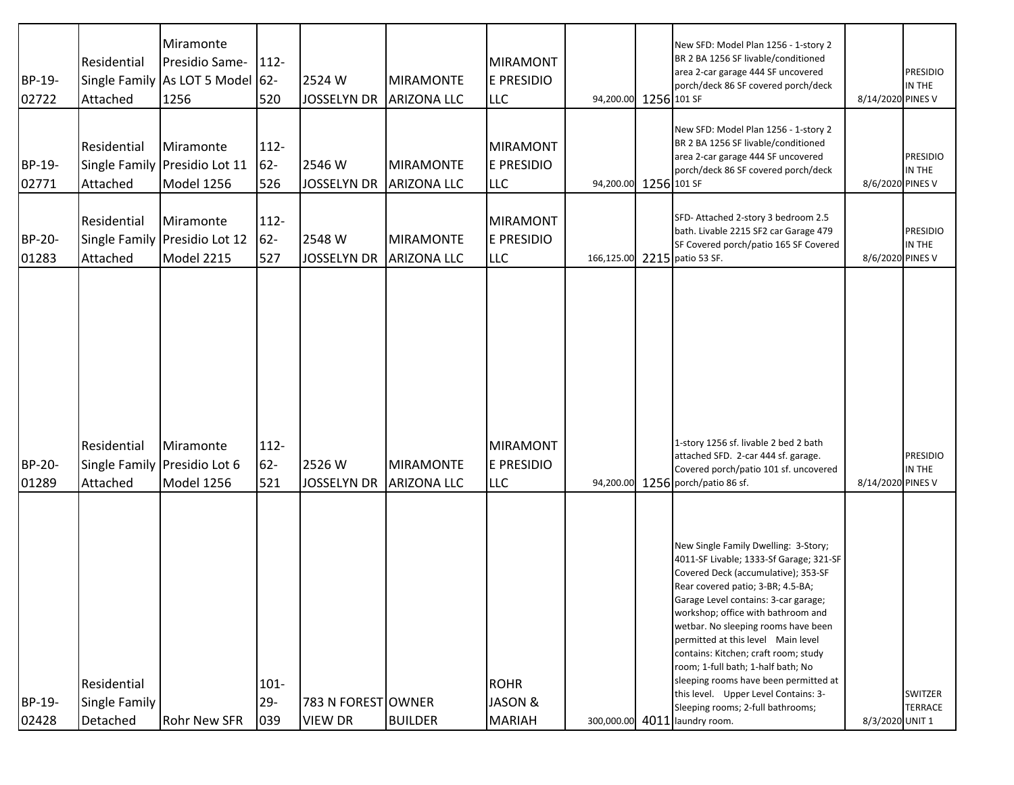| BP-19-<br>02722 | Residential<br>Attached                  | Miramonte<br>Presidio Same-<br>Single Family As LOT 5 Model 62-<br>1256 | 112-<br>520              | 2524W<br><b>JOSSELYN DR</b>          | <b>MIRAMONTE</b><br><b>ARIZONA LLC</b> | <b>MIRAMONT</b><br><b>E PRESIDIO</b><br><b>LLC</b> | 94,200.00 1256 101 SF | New SFD: Model Plan 1256 - 1-story 2<br>BR 2 BA 1256 SF livable/conditioned<br>area 2-car garage 444 SF uncovered<br>porch/deck 86 SF covered porch/deck                                                                                                                                                                                                                                                                                                                                                                                                    | 8/14/2020 PINES V | <b>PRESIDIO</b><br>IN THE        |
|-----------------|------------------------------------------|-------------------------------------------------------------------------|--------------------------|--------------------------------------|----------------------------------------|----------------------------------------------------|-----------------------|-------------------------------------------------------------------------------------------------------------------------------------------------------------------------------------------------------------------------------------------------------------------------------------------------------------------------------------------------------------------------------------------------------------------------------------------------------------------------------------------------------------------------------------------------------------|-------------------|----------------------------------|
| BP-19-<br>02771 | Residential<br>Attached                  | Miramonte<br>Single Family Presidio Lot 11<br>Model 1256                | 112-<br>$62 -$<br>526    | 2546 W<br><b>JOSSELYN DR</b>         | <b>MIRAMONTE</b><br><b>ARIZONA LLC</b> | <b>MIRAMONT</b><br><b>E PRESIDIO</b><br><b>LLC</b> | 94,200.00 1256 101 SF | New SFD: Model Plan 1256 - 1-story 2<br>BR 2 BA 1256 SF livable/conditioned<br>area 2-car garage 444 SF uncovered<br>porch/deck 86 SF covered porch/deck                                                                                                                                                                                                                                                                                                                                                                                                    | 8/6/2020 PINES V  | <b>PRESIDIO</b><br>IN THE        |
| BP-20-<br>01283 | Residential<br>Attached                  | Miramonte<br>Single Family Presidio Lot 12<br>Model 2215                | 112-<br>$62 -$<br>527    | 2548 W<br><b>JOSSELYN DR</b>         | <b>MIRAMONTE</b><br><b>ARIZONA LLC</b> | <b>MIRAMONT</b><br><b>E PRESIDIO</b><br><b>LLC</b> |                       | SFD-Attached 2-story 3 bedroom 2.5<br>bath. Livable 2215 SF2 car Garage 479<br>SF Covered porch/patio 165 SF Covered<br>166,125.00 2215 patio 53 SF.                                                                                                                                                                                                                                                                                                                                                                                                        | 8/6/2020 PINES V  | <b>PRESIDIO</b><br>IN THE        |
| BP-20-<br>01289 | Residential<br>Attached                  | Miramonte<br>Single Family Presidio Lot 6<br>Model 1256                 | 112-<br>$62 -$<br>521    | 2526W<br><b>JOSSELYN DR</b>          | <b>MIRAMONTE</b><br><b>ARIZONA LLC</b> | MIRAMONT<br><b>E PRESIDIO</b><br><b>LLC</b>        |                       | 1-story 1256 sf. livable 2 bed 2 bath<br>attached SFD. 2-car 444 sf. garage.<br>Covered porch/patio 101 sf. uncovered<br>94,200.00 1256 porch/patio 86 sf.                                                                                                                                                                                                                                                                                                                                                                                                  | 8/14/2020 PINES V | <b>PRESIDIO</b><br>IN THE        |
| BP-19-<br>02428 | Residential<br>Single Family<br>Detached | Rohr New SFR                                                            | $101 -$<br>$29 -$<br>039 | 783 N FOREST OWNER<br><b>VIEW DR</b> | <b>BUILDER</b>                         | <b>ROHR</b><br>JASON &<br><b>MARIAH</b>            |                       | New Single Family Dwelling: 3-Story;<br>4011-SF Livable; 1333-Sf Garage; 321-SF<br>Covered Deck (accumulative); 353-SF<br>Rear covered patio; 3-BR; 4.5-BA;<br>Garage Level contains: 3-car garage;<br>workshop; office with bathroom and<br>wetbar. No sleeping rooms have been<br>permitted at this level Main level<br>contains: Kitchen; craft room; study<br>room; 1-full bath; 1-half bath; No<br>sleeping rooms have been permitted at<br>this level. Upper Level Contains: 3-<br>Sleeping rooms; 2-full bathrooms;<br>300,000.00 4011 laundry room. | 8/3/2020 UNIT 1   | <b>SWITZER</b><br><b>TERRACE</b> |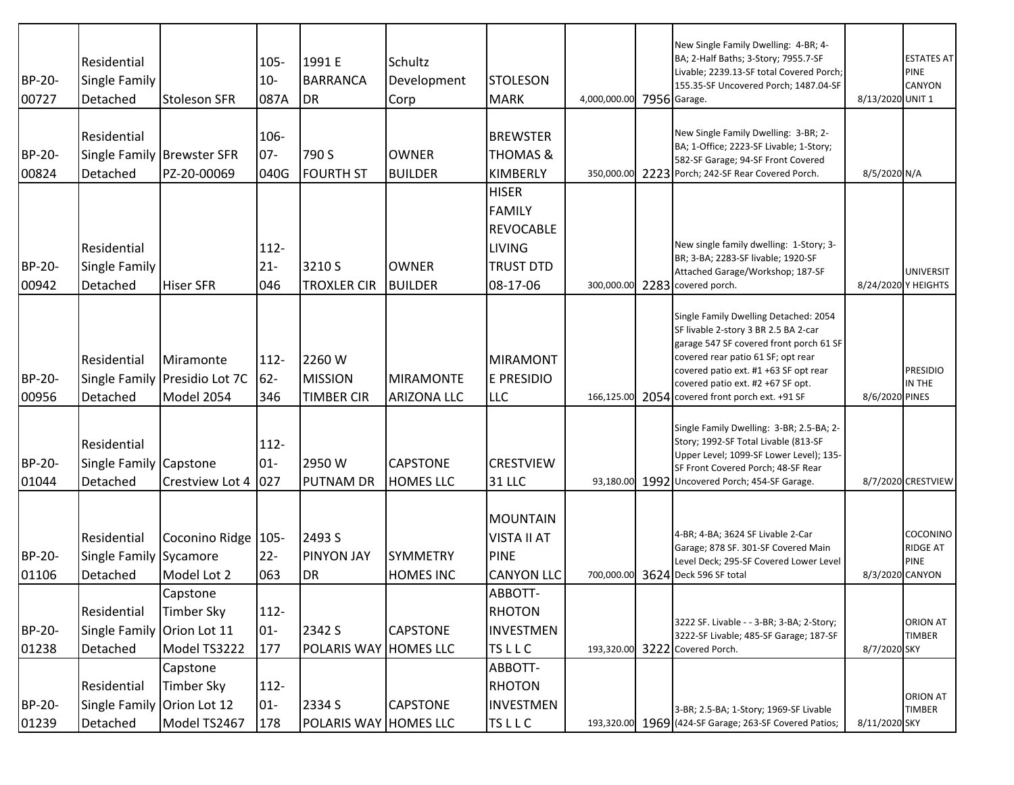| BP-20-<br>00727        | Residential<br><b>Single Family</b><br>Detached       | <b>Stoleson SFR</b>                                      | $105 -$<br>$10-$<br>087A | 1991 E<br><b>BARRANCA</b><br><b>DR</b>        | Schultz<br>Development<br>Corp         | <b>STOLESON</b><br><b>MARK</b>                                                                     | 4,000,000.00 7956 Garage. |      | New Single Family Dwelling: 4-BR; 4-<br>BA; 2-Half Baths; 3-Story; 7955.7-SF<br>Livable; 2239.13-SF total Covered Porch;<br>155.35-SF Uncovered Porch; 1487.04-SF                                                                                                               | 8/13/2020 UNIT 1 | <b>ESTATES AT</b><br><b>PINE</b><br><b>CANYON</b>             |
|------------------------|-------------------------------------------------------|----------------------------------------------------------|--------------------------|-----------------------------------------------|----------------------------------------|----------------------------------------------------------------------------------------------------|---------------------------|------|---------------------------------------------------------------------------------------------------------------------------------------------------------------------------------------------------------------------------------------------------------------------------------|------------------|---------------------------------------------------------------|
| BP-20-<br>00824        | Residential<br>Detached                               | Single Family Brewster SFR<br>PZ-20-00069                | 106-<br>$07 -$<br>040G   | 790 S<br><b>FOURTH ST</b>                     | <b>OWNER</b><br><b>BUILDER</b>         | <b>BREWSTER</b><br><b>THOMAS &amp;</b><br><b>KIMBERLY</b>                                          |                           |      | New Single Family Dwelling: 3-BR; 2-<br>BA; 1-Office; 2223-SF Livable; 1-Story;<br>582-SF Garage; 94-SF Front Covered<br>350,000.00 2223 Porch; 242-SF Rear Covered Porch.                                                                                                      | 8/5/2020 N/A     |                                                               |
| <b>BP-20-</b><br>00942 | Residential<br><b>Single Family</b><br>Detached       | <b>Hiser SFR</b>                                         | $112 -$<br>$21 -$<br>046 | 3210 S<br><b>TROXLER CIR</b>                  | <b>OWNER</b><br><b>BUILDER</b>         | <b>HISER</b><br><b>FAMILY</b><br><b>REVOCABLE</b><br><b>LIVING</b><br><b>TRUST DTD</b><br>08-17-06 |                           |      | New single family dwelling: 1-Story; 3-<br>BR; 3-BA; 2283-SF livable; 1920-SF<br>Attached Garage/Workshop; 187-SF<br>300,000.00 2283 covered porch.                                                                                                                             |                  | <b>UNIVERSIT</b><br>8/24/2020 Y HEIGHTS                       |
| BP-20-<br>00956        | Residential<br>Detached                               | Miramonte<br>Single Family Presidio Lot 7C<br>Model 2054 | $112 -$<br>62-<br>346    | 2260 W<br><b>MISSION</b><br><b>TIMBER CIR</b> | <b>MIRAMONTE</b><br><b>ARIZONA LLC</b> | <b>MIRAMONT</b><br><b>E PRESIDIO</b><br><b>LLC</b>                                                 | 166,125.00                | 2054 | Single Family Dwelling Detached: 2054<br>SF livable 2-story 3 BR 2.5 BA 2-car<br>garage 547 SF covered front porch 61 SF<br>covered rear patio 61 SF; opt rear<br>covered patio ext. #1 +63 SF opt rear<br>covered patio ext. #2 +67 SF opt.<br>covered front porch ext. +91 SF | 8/6/2020 PINES   | <b>PRESIDIO</b><br>IN THE                                     |
| BP-20-<br>01044        | Residential<br>Single Family Capstone<br>Detached     | Crestview Lot 4                                          | $112 -$<br>$01 -$<br>027 | 2950W<br><b>PUTNAM DR</b>                     | <b>CAPSTONE</b><br><b>HOMES LLC</b>    | <b>CRESTVIEW</b><br><b>31 LLC</b>                                                                  |                           |      | Single Family Dwelling: 3-BR; 2.5-BA; 2-<br>Story; 1992-SF Total Livable (813-SF<br>Upper Level; 1099-SF Lower Level); 135-<br>SF Front Covered Porch; 48-SF Rear<br>93,180.00 1992 Uncovered Porch; 454-SF Garage.                                                             |                  | 8/7/2020 CRESTVIEW                                            |
| BP-20-<br>01106        | Residential<br>Single Family Sycamore<br>Detached     | Coconino Ridge   105-<br>Model Lot 2                     | $22 -$<br>063            | 2493 S<br><b>PINYON JAY</b><br><b>DR</b>      | <b>SYMMETRY</b><br><b>HOMES INC</b>    | <b>MOUNTAIN</b><br><b>VISTA II AT</b><br><b>PINE</b><br><b>CANYON LLC</b>                          |                           |      | 4-BR; 4-BA; 3624 SF Livable 2-Car<br>Garage; 878 SF. 301-SF Covered Main<br>Level Deck; 295-SF Covered Lower Level<br>700,000.00 3624 Deck 596 SF total                                                                                                                         |                  | COCONINO<br><b>RIDGE AT</b><br><b>PINE</b><br>8/3/2020 CANYON |
| BP-20-<br>01238        | Residential<br>Single Family Orion Lot 11<br>Detached | Capstone<br>Timber Sky<br>Model TS3222                   | $112 -$<br>$01-$<br>177  | 2342 S<br>POLARIS WAY HOMES LLC               | <b>CAPSTONE</b>                        | ABBOTT-<br><b>RHOTON</b><br><b>INVESTMEN</b><br><b>TSLLC</b>                                       |                           |      | 3222 SF. Livable - - 3-BR; 3-BA; 2-Story;<br>3222-SF Livable; 485-SF Garage; 187-SF<br>193,320.00 3222 Covered Porch.                                                                                                                                                           | 8/7/2020 SKY     | <b>ORION AT</b><br><b>TIMBER</b>                              |
| BP-20-<br>01239        | Residential<br>Single Family Orion Lot 12<br>Detached | Capstone<br><b>Timber Sky</b><br>Model TS2467            | $112 -$<br>$01-$<br>178  | 2334 S<br>POLARIS WAY HOMES LLC               | <b>CAPSTONE</b>                        | ABBOTT-<br><b>RHOTON</b><br><b>INVESTMEN</b><br><b>TSLLC</b>                                       |                           |      | 3-BR; 2.5-BA; 1-Story; 1969-SF Livable<br>193,320.00 1969 (424-SF Garage; 263-SF Covered Patios;                                                                                                                                                                                | 8/11/2020 SKY    | <b>ORION AT</b><br><b>TIMBER</b>                              |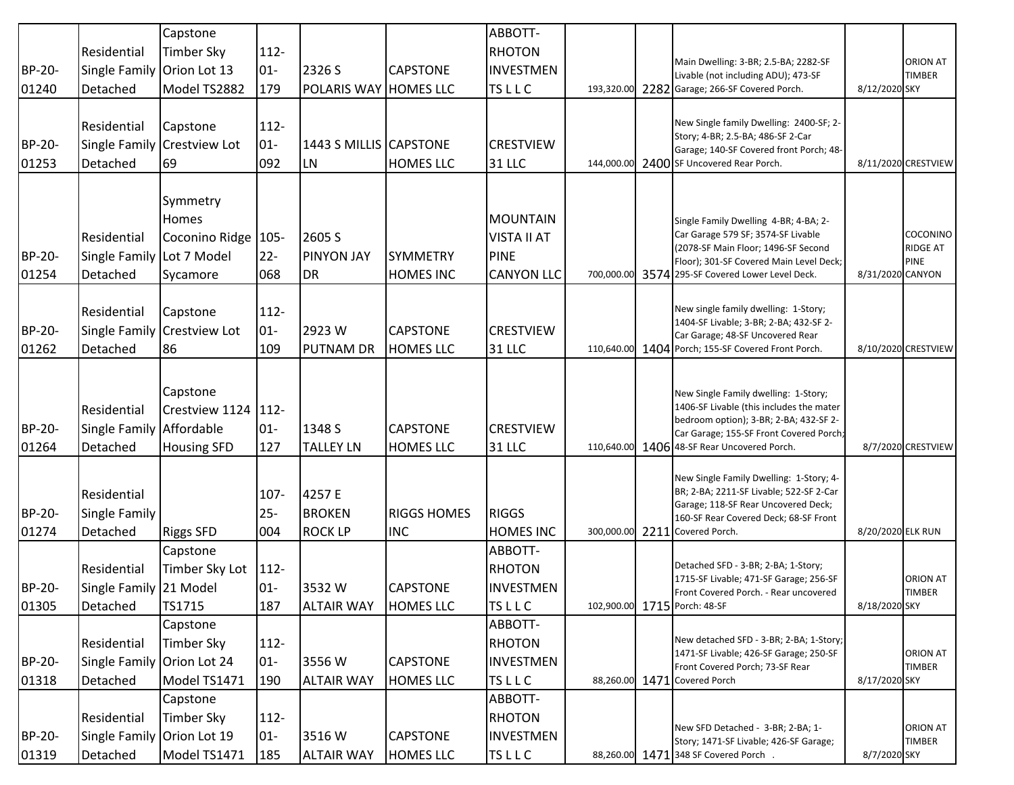|        |                            | Capstone                   |         |                        |                    | ABBOTT-            |            |                                                                                             |                   |                                  |
|--------|----------------------------|----------------------------|---------|------------------------|--------------------|--------------------|------------|---------------------------------------------------------------------------------------------|-------------------|----------------------------------|
|        | Residential                | <b>Timber Sky</b>          | 112-    |                        |                    | <b>RHOTON</b>      |            |                                                                                             |                   |                                  |
| BP-20- | Single Family              | Orion Lot 13               | $01 -$  | 2326 S                 | <b>CAPSTONE</b>    | <b>INVESTMEN</b>   |            | Main Dwelling: 3-BR; 2.5-BA; 2282-SF                                                        |                   | ORION AT<br><b>TIMBER</b>        |
| 01240  | Detached                   | Model TS2882               | 179     | POLARIS WAY HOMES LLC  |                    | <b>TSLLC</b>       |            | Livable (not including ADU); 473-SF<br>193,320.00 2282 Garage; 266-SF Covered Porch.        | 8/12/2020 SKY     |                                  |
|        |                            |                            |         |                        |                    |                    |            |                                                                                             |                   |                                  |
|        | Residential                | Capstone                   | 112-    |                        |                    |                    |            | New Single family Dwelling: 2400-SF; 2-                                                     |                   |                                  |
| BP-20- | Single Family              | <b>Crestview Lot</b>       | $01-$   | 1443 S MILLIS CAPSTONE |                    | <b>CRESTVIEW</b>   |            | Story; 4-BR; 2.5-BA; 486-SF 2-Car                                                           |                   |                                  |
| 01253  | Detached                   | 69                         | 092     | <b>LN</b>              | <b>HOMES LLC</b>   | 31 LLC             | 144,000.00 | Garage; 140-SF Covered front Porch; 48-<br>2400 SF Uncovered Rear Porch.                    |                   | 8/11/2020 CRESTVIEW              |
|        |                            |                            |         |                        |                    |                    |            |                                                                                             |                   |                                  |
|        |                            | Symmetry                   |         |                        |                    |                    |            |                                                                                             |                   |                                  |
|        |                            | Homes                      |         |                        |                    | <b>MOUNTAIN</b>    |            | Single Family Dwelling 4-BR; 4-BA; 2-                                                       |                   |                                  |
|        | Residential                | Coconino Ridge   105-      |         | 2605 S                 |                    | <b>VISTA II AT</b> |            | Car Garage 579 SF; 3574-SF Livable                                                          |                   | COCONINO                         |
| BP-20- | <b>Single Family</b>       | Lot 7 Model                | $22 -$  | <b>PINYON JAY</b>      | <b>SYMMETRY</b>    | <b>PINE</b>        |            | (2078-SF Main Floor; 1496-SF Second                                                         |                   | RIDGE AT                         |
| 01254  | Detached                   | Sycamore                   | 068     | <b>DR</b>              | <b>HOMES INC</b>   | <b>CANYON LLC</b>  |            | Floor); 301-SF Covered Main Level Deck;<br>700,000.00 3574 295-SF Covered Lower Level Deck. | 8/31/2020 CANYON  | <b>PINE</b>                      |
|        |                            |                            |         |                        |                    |                    |            |                                                                                             |                   |                                  |
|        | Residential                | Capstone                   | 112-    |                        |                    |                    |            | New single family dwelling: 1-Story;                                                        |                   |                                  |
| BP-20- | Single Family              | <b>Crestview Lot</b>       | $01 -$  | 2923 W                 | <b>CAPSTONE</b>    | <b>CRESTVIEW</b>   |            | 1404-SF Livable; 3-BR; 2-BA; 432-SF 2-<br>Car Garage; 48-SF Uncovered Rear                  |                   |                                  |
| 01262  | Detached                   | 86                         | 109     | <b>PUTNAM DR</b>       | <b>HOMES LLC</b>   | <b>31 LLC</b>      | 110,640.00 | 1404 Porch; 155-SF Covered Front Porch.                                                     |                   | 8/10/2020 CRESTVIEW              |
|        |                            |                            |         |                        |                    |                    |            |                                                                                             |                   |                                  |
|        |                            |                            |         |                        |                    |                    |            |                                                                                             |                   |                                  |
|        | Residential                | Capstone<br>Crestview 1124 | $112 -$ |                        |                    |                    |            | New Single Family dwelling: 1-Story;<br>1406-SF Livable (this includes the mater            |                   |                                  |
| BP-20- | Single Family Affordable   |                            | $01 -$  | 1348 S                 | <b>CAPSTONE</b>    | <b>CRESTVIEW</b>   |            | bedroom option); 3-BR; 2-BA; 432-SF 2-                                                      |                   |                                  |
|        | Detached                   |                            |         | <b>TALLEY LN</b>       | <b>HOMES LLC</b>   |                    |            | Car Garage; 155-SF Front Covered Porch;                                                     |                   | 8/7/2020 CRESTVIEW               |
| 01264  |                            | <b>Housing SFD</b>         | 127     |                        |                    | <b>31 LLC</b>      |            | 110,640.00 1406 48-SF Rear Uncovered Porch.                                                 |                   |                                  |
|        |                            |                            |         |                        |                    |                    |            | New Single Family Dwelling: 1-Story; 4-                                                     |                   |                                  |
|        | Residential                |                            | 107-    | 4257 E                 |                    |                    |            | BR; 2-BA; 2211-SF Livable; 522-SF 2-Car                                                     |                   |                                  |
| BP-20- | Single Family              |                            | $25 -$  | <b>BROKEN</b>          | <b>RIGGS HOMES</b> | <b>RIGGS</b>       |            | Garage; 118-SF Rear Uncovered Deck;<br>160-SF Rear Covered Deck; 68-SF Front                |                   |                                  |
| 01274  | Detached                   | <b>Riggs SFD</b>           | 004     | <b>ROCK LP</b>         | <b>INC</b>         | <b>HOMES INC</b>   |            | 300,000.00 2211 Covered Porch.                                                              | 8/20/2020 ELK RUN |                                  |
|        |                            | Capstone                   |         |                        |                    | ABBOTT-            |            |                                                                                             |                   |                                  |
|        | Residential                | Timber Sky Lot             | $112 -$ |                        |                    | <b>RHOTON</b>      |            | Detached SFD - 3-BR; 2-BA; 1-Story;                                                         |                   |                                  |
| BP-20- | Single Family 21 Model     |                            | $01 -$  | 3532W                  | <b>CAPSTONE</b>    | <b>INVESTMEN</b>   |            | 1715-SF Livable; 471-SF Garage; 256-SF<br>Front Covered Porch. - Rear uncovered             |                   | ORION AT<br><b>TIMBER</b>        |
| 01305  | Detached                   | TS1715                     | 187     | <b>ALTAIR WAY</b>      | <b>HOMES LLC</b>   | <b>TSLLC</b>       |            | 102,900.00 1715 Porch: 48-SF                                                                | 8/18/2020 SKY     |                                  |
|        |                            | Capstone                   |         |                        |                    | ABBOTT-            |            |                                                                                             |                   |                                  |
|        | Residential                | Timber Sky                 | 112-    |                        |                    | <b>RHOTON</b>      |            | New detached SFD - 3-BR; 2-BA; 1-Story;                                                     |                   |                                  |
| BP-20- | Single Family Orion Lot 24 |                            | $01 -$  | 3556W                  | <b>CAPSTONE</b>    | <b>INVESTMEN</b>   |            | 1471-SF Livable; 426-SF Garage; 250-SF<br>Front Covered Porch; 73-SF Rear                   |                   | ORION AT<br>TIMBER               |
| 01318  | Detached                   | Model TS1471               | 190     | <b>ALTAIR WAY</b>      | <b>HOMES LLC</b>   | <b>TSLLC</b>       |            | 88,260.00 1471 Covered Porch                                                                | 8/17/2020 SKY     |                                  |
|        |                            | Capstone                   |         |                        |                    | ABBOTT-            |            |                                                                                             |                   |                                  |
|        | Residential                | Timber Sky                 | 112-    |                        |                    | <b>RHOTON</b>      |            |                                                                                             |                   |                                  |
| BP-20- | Single Family Orion Lot 19 |                            | $01 -$  | 3516W                  | <b>CAPSTONE</b>    | <b>INVESTMEN</b>   |            | New SFD Detached - 3-BR; 2-BA; 1-<br>Story; 1471-SF Livable; 426-SF Garage;                 |                   | <b>ORION AT</b><br><b>TIMBER</b> |
| 01319  | Detached                   | Model TS1471               | 185     | <b>ALTAIR WAY</b>      | <b>HOMES LLC</b>   | <b>TSLLC</b>       |            | 88,260.00 1471 348 SF Covered Porch .                                                       | 8/7/2020 SKY      |                                  |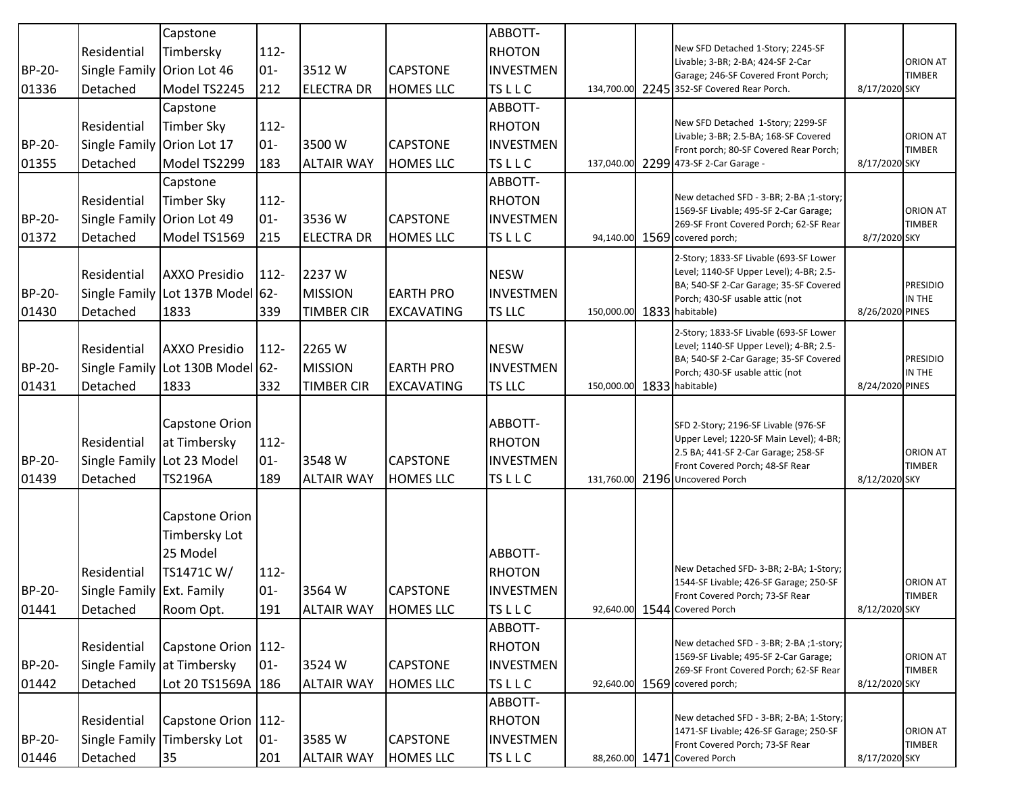|        |                            | Capstone              |         |                   |                   | ABBOTT-                 |                            |                                                                                   |                 |                 |
|--------|----------------------------|-----------------------|---------|-------------------|-------------------|-------------------------|----------------------------|-----------------------------------------------------------------------------------|-----------------|-----------------|
|        | Residential                | Timbersky             | $112 -$ |                   |                   | <b>RHOTON</b>           |                            | New SFD Detached 1-Story; 2245-SF                                                 |                 |                 |
| BP-20- | Single Family              | Orion Lot 46          | $01 -$  | 3512W             | <b>CAPSTONE</b>   | <b>INVESTMEN</b>        |                            | Livable; 3-BR; 2-BA; 424-SF 2-Car                                                 |                 | ORION AT        |
| 01336  | Detached                   | Model TS2245          | 212     | <b>ELECTRA DR</b> | <b>HOMES LLC</b>  | <b>TSLLC</b>            |                            | Garage; 246-SF Covered Front Porch;<br>134,700.00 2245 352-SF Covered Rear Porch. | 8/17/2020 SKY   | <b>TIMBER</b>   |
|        |                            | Capstone              |         |                   |                   | ABBOTT-                 |                            |                                                                                   |                 |                 |
|        | Residential                | Timber Sky            | $112 -$ |                   |                   | <b>RHOTON</b>           |                            | New SFD Detached 1-Story; 2299-SF                                                 |                 |                 |
| BP-20- | <b>Single Family</b>       | Orion Lot 17          | $01 -$  | 3500 W            | <b>CAPSTONE</b>   | <b>INVESTMEN</b>        |                            | Livable; 3-BR; 2.5-BA; 168-SF Covered                                             |                 | <b>ORION AT</b> |
| 01355  | Detached                   | Model TS2299          | 183     | <b>ALTAIR WAY</b> | <b>HOMES LLC</b>  | <b>TSLLC</b>            | 137,040.00                 | Front porch; 80-SF Covered Rear Porch;<br>2299 473-SF 2-Car Garage -              | 8/17/2020 SKY   | <b>TIMBER</b>   |
|        |                            | Capstone              |         |                   |                   | ABBOTT-                 |                            |                                                                                   |                 |                 |
|        | Residential                | <b>Timber Sky</b>     | 112-    |                   |                   | <b>RHOTON</b>           |                            | New detached SFD - 3-BR; 2-BA ;1-story;                                           |                 |                 |
| BP-20- | Single Family Orion Lot 49 |                       | $01-$   | 3536W             | <b>CAPSTONE</b>   | <b>INVESTMEN</b>        |                            | 1569-SF Livable; 495-SF 2-Car Garage;                                             |                 | ORION AT        |
| 01372  | Detached                   | Model TS1569          | 215     | <b>ELECTRA DR</b> | <b>HOMES LLC</b>  | <b>TSLLC</b>            |                            | 269-SF Front Covered Porch; 62-SF Rear<br>94,140.00 1569 covered porch;           | 8/7/2020 SKY    | <b>TIMBER</b>   |
|        |                            |                       |         |                   |                   |                         |                            | 2-Story; 1833-SF Livable (693-SF Lower                                            |                 |                 |
|        | Residential                | <b>AXXO Presidio</b>  | $112 -$ | 2237W             |                   | <b>NESW</b>             |                            | Level; 1140-SF Upper Level); 4-BR; 2.5-                                           |                 |                 |
| BP-20- | Single Family              | Lot 137B Model 62-    |         | <b>MISSION</b>    | <b>EARTH PRO</b>  | <b>INVESTMEN</b>        |                            | BA; 540-SF 2-Car Garage; 35-SF Covered                                            |                 | <b>PRESIDIO</b> |
| 01430  | Detached                   | 1833                  | 339     | <b>TIMBER CIR</b> | <b>EXCAVATING</b> | <b>TS LLC</b>           | 150,000.00 1833 habitable) | Porch; 430-SF usable attic (not                                                   | 8/26/2020 PINES | IN THE          |
|        |                            |                       |         |                   |                   |                         |                            | 2-Story; 1833-SF Livable (693-SF Lower                                            |                 |                 |
|        | Residential                | <b>AXXO Presidio</b>  | $112 -$ | 2265 W            |                   | <b>NESW</b>             |                            | Level; 1140-SF Upper Level); 4-BR; 2.5-                                           |                 |                 |
| BP-20- | <b>Single Family</b>       | Lot 130B Model 62-    |         | <b>MISSION</b>    | <b>EARTH PRO</b>  | <b>INVESTMEN</b>        |                            | BA; 540-SF 2-Car Garage; 35-SF Covered                                            |                 | <b>PRESIDIO</b> |
| 01431  | Detached                   | 1833                  | 332     | <b>TIMBER CIR</b> | <b>EXCAVATING</b> | <b>TS LLC</b>           | 150,000.00 1833 habitable) | Porch; 430-SF usable attic (not                                                   | 8/24/2020 PINES | IN THE          |
|        |                            |                       |         |                   |                   |                         |                            |                                                                                   |                 |                 |
|        |                            | Capstone Orion        |         |                   |                   | ABBOTT-                 |                            | SFD 2-Story; 2196-SF Livable (976-SF                                              |                 |                 |
|        | Residential                | at Timbersky          | $112 -$ |                   |                   | <b>RHOTON</b>           |                            | Upper Level; 1220-SF Main Level); 4-BR;                                           |                 |                 |
| BP-20- | <b>Single Family</b>       | Lot 23 Model          | $01 -$  | 3548 W            | <b>CAPSTONE</b>   | <b>INVESTMEN</b>        |                            | 2.5 BA; 441-SF 2-Car Garage; 258-SF                                               |                 | <b>ORION AT</b> |
| 01439  | Detached                   | TS2196A               | 189     | <b>ALTAIR WAY</b> | <b>HOMES LLC</b>  | <b>TSLLC</b>            | 131,760.00                 | Front Covered Porch; 48-SF Rear<br>2196 Uncovered Porch                           | 8/12/2020 SKY   | <b>TIMBER</b>   |
|        |                            |                       |         |                   |                   |                         |                            |                                                                                   |                 |                 |
|        |                            | Capstone Orion        |         |                   |                   |                         |                            |                                                                                   |                 |                 |
|        |                            | Timbersky Lot         |         |                   |                   |                         |                            |                                                                                   |                 |                 |
|        |                            | 25 Model              |         |                   |                   | ABBOTT-                 |                            |                                                                                   |                 |                 |
|        | Residential                | TS1471CW/             | $112 -$ |                   |                   | <b>RHOTON</b>           |                            | New Detached SFD- 3-BR; 2-BA; 1-Story;                                            |                 |                 |
|        |                            |                       |         |                   |                   |                         |                            | 1544-SF Livable; 426-SF Garage; 250-SF                                            |                 | ORION AT        |
| BP-20- | Single Family Ext. Family  |                       | $01 -$  | 3564 W            | <b>CAPSTONE</b>   | <b>INVESTMEN</b>        |                            | Front Covered Porch; 73-SF Rear                                                   |                 | <b>TIMBER</b>   |
| 01441  | Detached                   | Room Opt.             | 191     | <b>ALTAIR WAY</b> | <b>HOMES LLC</b>  | <b>TSLLC</b><br>ABBOTT- | 92,640.00                  | 1544 Covered Porch                                                                | 8/12/2020 SKY   |                 |
|        |                            |                       |         |                   |                   |                         |                            | New detached SFD - 3-BR; 2-BA ;1-story;                                           |                 |                 |
|        | Residential                | Capstone Orion 112-   |         |                   |                   | <b>RHOTON</b>           |                            | 1569-SF Livable; 495-SF 2-Car Garage;                                             |                 | ORION AT        |
| BP-20- | Single Family at Timbersky |                       | $01 -$  | 3524 W            | <b>CAPSTONE</b>   | <b>INVESTMEN</b>        |                            | 269-SF Front Covered Porch; 62-SF Rear                                            |                 | <b>TIMBER</b>   |
| 01442  | Detached                   | Lot 20 TS1569A  186   |         | <b>ALTAIR WAY</b> | <b>HOMES LLC</b>  | <b>TSLLC</b>            |                            | 92,640.00 1569 covered porch;                                                     | 8/12/2020 SKY   |                 |
|        |                            |                       |         |                   |                   | ABBOTT-                 |                            | New detached SFD - 3-BR; 2-BA; 1-Story;                                           |                 |                 |
|        | Residential                | Capstone Orion   112- |         |                   |                   | <b>RHOTON</b>           |                            | 1471-SF Livable; 426-SF Garage; 250-SF                                            |                 | <b>ORION AT</b> |
| BP-20- | Single Family              | Timbersky Lot         | $ 01 -$ | 3585W             | <b>CAPSTONE</b>   | <b>INVESTMEN</b>        |                            | Front Covered Porch; 73-SF Rear                                                   |                 | <b>TIMBER</b>   |
| 01446  | Detached                   | 35                    | 201     | <b>ALTAIR WAY</b> | <b>HOMES LLC</b>  | <b>TSLLC</b>            |                            | 88,260.00 1471 Covered Porch                                                      | 8/17/2020 SKY   |                 |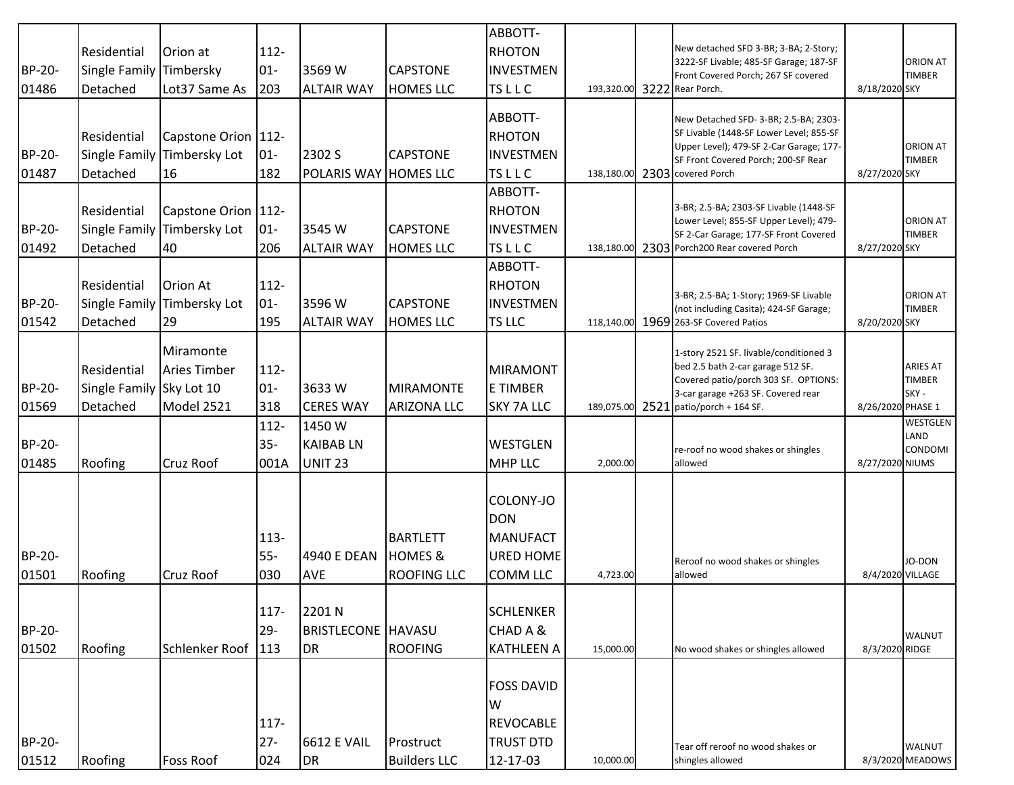|               |                          |                       |         |                           |                     | ABBOTT-           |            |                                                                                  |                   |                  |
|---------------|--------------------------|-----------------------|---------|---------------------------|---------------------|-------------------|------------|----------------------------------------------------------------------------------|-------------------|------------------|
|               | Residential              | Orion at              | 112-    |                           |                     | <b>RHOTON</b>     |            | New detached SFD 3-BR; 3-BA; 2-Story;<br>3222-SF Livable; 485-SF Garage; 187-SF  |                   | ORION AT         |
| <b>BP-20-</b> | Single Family            | Timbersky             | $01-$   | 3569 W                    | <b>CAPSTONE</b>     | <b>INVESTMEN</b>  |            | Front Covered Porch; 267 SF covered                                              |                   | TIMBER           |
| 01486         | Detached                 | Lot37 Same As         | 203     | <b>ALTAIR WAY</b>         | <b>HOMES LLC</b>    | <b>TSLLC</b>      | 193,320.00 | 3222 Rear Porch.                                                                 | 8/18/2020 SKY     |                  |
|               |                          |                       |         |                           |                     | ABBOTT-           |            |                                                                                  |                   |                  |
|               | Residential              |                       |         |                           |                     | <b>RHOTON</b>     |            | New Detached SFD- 3-BR; 2.5-BA; 2303-<br>SF Livable (1448-SF Lower Level; 855-SF |                   |                  |
|               |                          | Capstone Orion   112- |         |                           |                     |                   |            | Upper Level); 479-SF 2-Car Garage; 177-                                          |                   | ORION AT         |
| BP-20-        | <b>Single Family</b>     | Timbersky Lot         | $01-$   | 2302 S                    | <b>CAPSTONE</b>     | <b>INVESTMEN</b>  |            | SF Front Covered Porch; 200-SF Rear                                              |                   | TIMBER           |
| 01487         | Detached                 | 16                    | 182     | POLARIS WAY HOMES LLC     |                     | <b>TSLLC</b>      | 138,180.00 | 2303 covered Porch                                                               | 8/27/2020 SKY     |                  |
|               |                          |                       |         |                           |                     | ABBOTT-           |            | 3-BR; 2.5-BA; 2303-SF Livable (1448-SF                                           |                   |                  |
|               | Residential              | Capstone Orion   112- |         |                           |                     | <b>RHOTON</b>     |            | Lower Level; 855-SF Upper Level); 479-                                           |                   | ORION AT         |
| BP-20-        | Single Family            | Timbersky Lot         | $01-$   | 3545 W                    | <b>CAPSTONE</b>     | <b>INVESTMEN</b>  |            | SF 2-Car Garage; 177-SF Front Covered                                            |                   | <b>TIMBER</b>    |
| 01492         | Detached                 | 40                    | 206     | <b>ALTAIR WAY</b>         | <b>HOMES LLC</b>    | <b>TSLLC</b>      | 138,180.00 | 2303 Porch200 Rear covered Porch                                                 | 8/27/2020 SKY     |                  |
|               |                          |                       |         |                           |                     | ABBOTT-           |            |                                                                                  |                   |                  |
|               | Residential              | Orion At              | 112-    |                           |                     | <b>RHOTON</b>     |            | 3-BR; 2.5-BA; 1-Story; 1969-SF Livable                                           |                   | ORION AT         |
| BP-20-        | <b>Single Family</b>     | Timbersky Lot         | $01-$   | 3596 W                    | <b>CAPSTONE</b>     | <b>INVESTMEN</b>  |            | (not including Casita); 424-SF Garage;                                           |                   | <b>TIMBER</b>    |
| 01542         | Detached                 | 29                    | 195     | <b>ALTAIR WAY</b>         | <b>HOMES LLC</b>    | TS LLC            |            | 118,140.00 1969 263-SF Covered Patios                                            | 8/20/2020 SKY     |                  |
|               |                          | Miramonte             |         |                           |                     |                   |            |                                                                                  |                   |                  |
|               | Residential              | <b>Aries Timber</b>   | $112 -$ |                           |                     | MIRAMONT          |            | 1-story 2521 SF. livable/conditioned 3<br>bed 2.5 bath 2-car garage 512 SF.      |                   | <b>ARIES AT</b>  |
| BP-20-        | Single Family Sky Lot 10 |                       | $01-$   | 3633W                     | <b>MIRAMONTE</b>    | <b>E TIMBER</b>   |            | Covered patio/porch 303 SF. OPTIONS:                                             |                   | TIMBER           |
|               |                          | Model 2521            | 318     | <b>CERES WAY</b>          | <b>ARIZONA LLC</b>  | <b>SKY 7A LLC</b> |            | 3-car garage +263 SF. Covered rear                                               | 8/26/2020 PHASE 1 | SKY -            |
| 01569         | Detached                 |                       |         |                           |                     |                   | 189,075.00 | $2521$ patio/porch + 164 SF.                                                     |                   | WESTGLEN         |
|               |                          |                       | $112-$  | 1450W                     |                     |                   |            |                                                                                  |                   | LAND             |
| <b>BP-20-</b> |                          |                       | $35 -$  | <b>KAIBABLN</b>           |                     | <b>WESTGLEN</b>   |            | re-roof no wood shakes or shingles                                               |                   | <b>CONDOMI</b>   |
| 01485         | Roofing                  | <b>Cruz Roof</b>      | 001A    | <b>UNIT 23</b>            |                     | <b>MHP LLC</b>    | 2,000.00   | allowed                                                                          | 8/27/2020 NIUMS   |                  |
|               |                          |                       |         |                           |                     |                   |            |                                                                                  |                   |                  |
|               |                          |                       |         |                           |                     | COLONY-JO         |            |                                                                                  |                   |                  |
|               |                          |                       |         |                           |                     | <b>DON</b>        |            |                                                                                  |                   |                  |
|               |                          |                       | $113 -$ |                           | <b>BARTLETT</b>     | <b>MANUFACT</b>   |            |                                                                                  |                   |                  |
| BP-20-        |                          |                       | 55-     | 4940 E DEAN               | <b>HOMES &amp;</b>  | <b>URED HOME</b>  |            | Reroof no wood shakes or shingles                                                |                   | JO-DON           |
| 01501         | Roofing                  | <b>Cruz Roof</b>      | 030     | <b>AVE</b>                | <b>ROOFING LLC</b>  | <b>COMM LLC</b>   | 4,723.00   | allowed                                                                          | 8/4/2020 VILLAGE  |                  |
|               |                          |                       |         |                           |                     |                   |            |                                                                                  |                   |                  |
|               |                          |                       | 117-    | 2201 N                    |                     | <b>SCHLENKER</b>  |            |                                                                                  |                   |                  |
| BP-20-        |                          |                       | $29 -$  | <b>BRISTLECONE HAVASU</b> |                     | CHAD A &          |            |                                                                                  |                   | <b>WALNUT</b>    |
| 01502         | Roofing                  | Schlenker Roof        | 113     | <b>DR</b>                 | <b>ROOFING</b>      | <b>KATHLEEN A</b> | 15,000.00  | No wood shakes or shingles allowed                                               | 8/3/2020 RIDGE    |                  |
|               |                          |                       |         |                           |                     |                   |            |                                                                                  |                   |                  |
|               |                          |                       |         |                           |                     | <b>FOSS DAVID</b> |            |                                                                                  |                   |                  |
|               |                          |                       |         |                           |                     | W                 |            |                                                                                  |                   |                  |
|               |                          |                       | 117-    |                           |                     | <b>REVOCABLE</b>  |            |                                                                                  |                   |                  |
| BP-20-        |                          |                       | $27 -$  | <b>6612 E VAIL</b>        | Prostruct           | <b>TRUST DTD</b>  |            | Tear off reroof no wood shakes or                                                |                   | <b>WALNUT</b>    |
| 01512         | Roofing                  | Foss Roof             | 024     | <b>DR</b>                 | <b>Builders LLC</b> | 12-17-03          | 10,000.00  | shingles allowed                                                                 |                   | 8/3/2020 MEADOWS |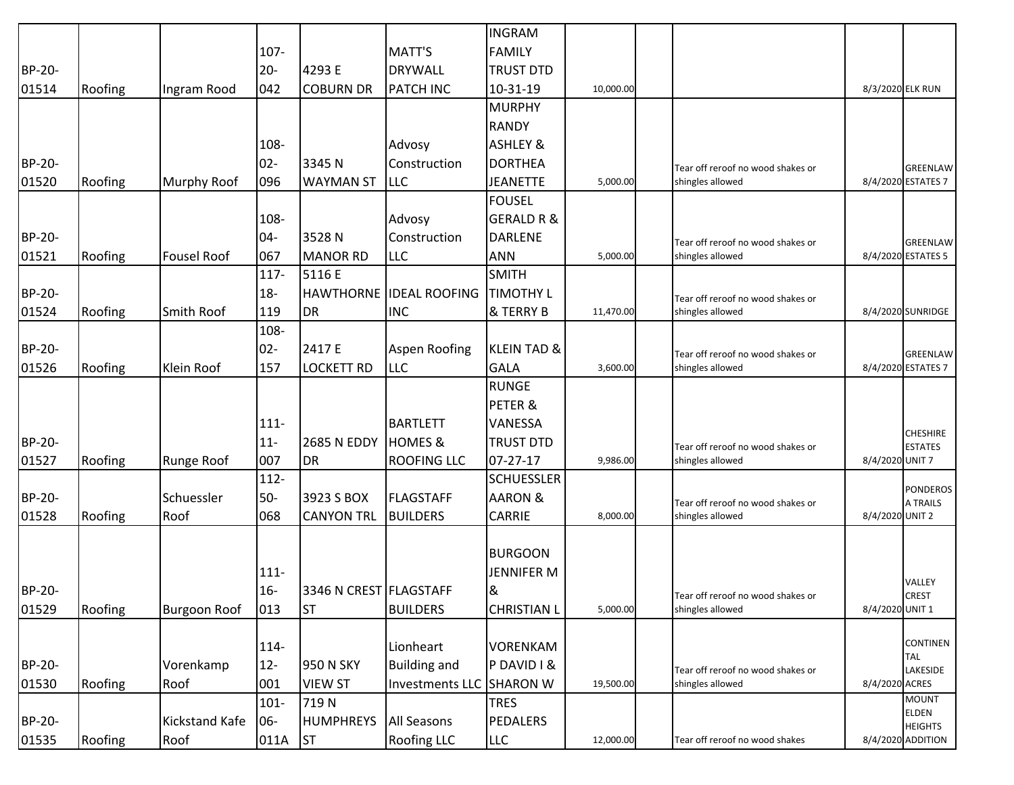|        |         |                       |         |                         |                                | <b>INGRAM</b>          |           |                                   |                  |                                   |
|--------|---------|-----------------------|---------|-------------------------|--------------------------------|------------------------|-----------|-----------------------------------|------------------|-----------------------------------|
|        |         |                       | 107-    |                         | MATT'S                         | <b>FAMILY</b>          |           |                                   |                  |                                   |
| BP-20- |         |                       | $20 -$  | 4293 E                  | <b>DRYWALL</b>                 | <b>TRUST DTD</b>       |           |                                   |                  |                                   |
| 01514  | Roofing | Ingram Rood           | 042     | <b>COBURN DR</b>        | <b>PATCH INC</b>               | 10-31-19               | 10,000.00 |                                   | 8/3/2020 ELK RUN |                                   |
|        |         |                       |         |                         |                                | <b>MURPHY</b>          |           |                                   |                  |                                   |
|        |         |                       |         |                         |                                | <b>RANDY</b>           |           |                                   |                  |                                   |
|        |         |                       | 108-    |                         | Advosy                         | <b>ASHLEY &amp;</b>    |           |                                   |                  |                                   |
| BP-20- |         |                       | $02 -$  | 3345 N                  | Construction                   | <b>DORTHEA</b>         |           | Tear off reroof no wood shakes or |                  | <b>GREENLAW</b>                   |
| 01520  | Roofing | Murphy Roof           | 096     | <b>WAYMAN ST</b>        | <b>LLC</b>                     | <b>JEANETTE</b>        | 5,000.00  | shingles allowed                  |                  | 8/4/2020 ESTATES 7                |
|        |         |                       |         |                         |                                | <b>FOUSEL</b>          |           |                                   |                  |                                   |
|        |         |                       | 108-    |                         | Advosy                         | <b>GERALD R &amp;</b>  |           |                                   |                  |                                   |
| BP-20- |         |                       | $04 -$  | 3528N                   | Construction                   | <b>DARLENE</b>         |           | Tear off reroof no wood shakes or |                  | GREENLAW                          |
| 01521  | Roofing | <b>Fousel Roof</b>    | 067     | <b>MANOR RD</b>         | <b>LLC</b>                     | <b>ANN</b>             | 5,000.00  | shingles allowed                  |                  | 8/4/2020 ESTATES 5                |
|        |         |                       | 117-    | 5116 E                  |                                | <b>SMITH</b>           |           |                                   |                  |                                   |
| BP-20- |         |                       | $18 -$  |                         | <b>HAWTHORNE IDEAL ROOFING</b> | <b>TIMOTHY L</b>       |           | Tear off reroof no wood shakes or |                  |                                   |
| 01524  | Roofing | Smith Roof            | 119     | <b>DR</b>               | <b>INC</b>                     | & TERRY B              | 11,470.00 | shingles allowed                  |                  | 8/4/2020 SUNRIDGE                 |
|        |         |                       | 108-    |                         |                                |                        |           |                                   |                  |                                   |
| BP-20- |         |                       | $02 -$  | 2417 E                  | Aspen Roofing                  | <b>KLEIN TAD &amp;</b> |           | Tear off reroof no wood shakes or |                  | GREENLAW                          |
| 01526  | Roofing | Klein Roof            | 157     | <b>LOCKETT RD</b>       | <b>LLC</b>                     | <b>GALA</b>            | 3,600.00  | shingles allowed                  |                  | 8/4/2020 ESTATES 7                |
|        |         |                       |         |                         |                                | <b>RUNGE</b>           |           |                                   |                  |                                   |
|        |         |                       |         |                         |                                | PETER &                |           |                                   |                  |                                   |
|        |         |                       | $111 -$ |                         | <b>BARTLETT</b>                | VANESSA                |           |                                   |                  |                                   |
| BP-20- |         |                       | $11 -$  | <b>2685 N EDDY</b>      | <b>HOMES &amp;</b>             | <b>TRUST DTD</b>       |           | Tear off reroof no wood shakes or |                  | <b>CHESHIRE</b><br><b>ESTATES</b> |
| 01527  | Roofing | Runge Roof            | 007     | DR                      | <b>ROOFING LLC</b>             | 07-27-17               | 9,986.00  | shingles allowed                  | 8/4/2020 UNIT 7  |                                   |
|        |         |                       | $112 -$ |                         |                                | <b>SCHUESSLER</b>      |           |                                   |                  |                                   |
| BP-20- |         | Schuessler            | $50-$   | 3923 S BOX              | <b>FLAGSTAFF</b>               | <b>AARON &amp;</b>     |           | Tear off reroof no wood shakes or |                  | <b>PONDEROS</b><br>A TRAILS       |
| 01528  | Roofing | Roof                  | 068     | <b>CANYON TRL</b>       | <b>BUILDERS</b>                | <b>CARRIE</b>          | 8,000.00  | shingles allowed                  | 8/4/2020 UNIT 2  |                                   |
|        |         |                       |         |                         |                                |                        |           |                                   |                  |                                   |
|        |         |                       |         |                         |                                | <b>BURGOON</b>         |           |                                   |                  |                                   |
|        |         |                       | $111 -$ |                         |                                | <b>JENNIFER M</b>      |           |                                   |                  |                                   |
| BP-20- |         |                       | $16 -$  | 3346 N CREST FLAGSTAFF  |                                | 8                      |           | Tear off reroof no wood shakes or |                  | VALLEY<br><b>CREST</b>            |
| 01529  | Roofing | <b>Burgoon Roof</b>   | 013     | <b>ST</b>               | <b>BUILDERS</b>                | <b>CHRISTIAN L</b>     | 5,000.00  | shingles allowed                  | 8/4/2020 UNIT 1  |                                   |
|        |         |                       |         |                         |                                |                        |           |                                   |                  |                                   |
|        |         |                       | 114-    |                         | Lionheart                      | <b>VORENKAM</b>        |           |                                   |                  | <b>CONTINEN</b>                   |
| BP-20- |         | Vorenkamp             | $12-$   | 950 N SKY               | <b>Building and</b>            | PDAVID I &             |           | Tear off reroof no wood shakes or |                  | <b>TAL</b><br>LAKESIDE            |
| 01530  | Roofing | Roof                  | 001     | <b>VIEW ST</b>          | <b>Investments LLC</b>         | <b>SHARON W</b>        | 19,500.00 | shingles allowed                  | 8/4/2020 ACRES   |                                   |
|        |         |                       | $101 -$ | 719N                    |                                | <b>TRES</b>            |           |                                   |                  | <b>MOUNT</b>                      |
| BP-20- |         | <b>Kickstand Kafe</b> | 06-     | <b>HUMPHREYS</b>        | <b>All Seasons</b>             | <b>PEDALERS</b>        |           |                                   |                  | <b>ELDEN</b><br><b>HEIGHTS</b>    |
| 01535  | Roofing | Roof                  | 011A    | $\overline{\mathsf{S}}$ | <b>Roofing LLC</b>             | <b>LLC</b>             | 12,000.00 | Tear off reroof no wood shakes    |                  | 8/4/2020 ADDITION                 |
|        |         |                       |         |                         |                                |                        |           |                                   |                  |                                   |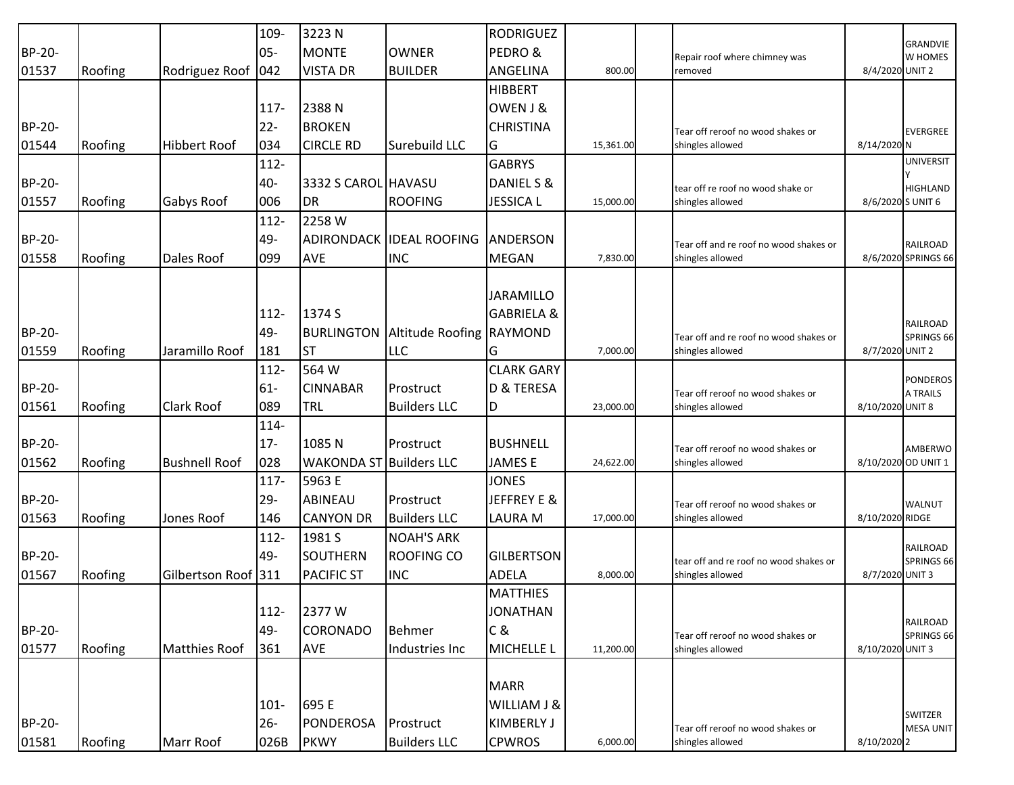|        |         |                      | 109-    | 3223 N              |                      | <b>RODRIGUEZ</b>      |           |                                        |                   |                                    |
|--------|---------|----------------------|---------|---------------------|----------------------|-----------------------|-----------|----------------------------------------|-------------------|------------------------------------|
| BP-20- |         |                      | $05 -$  | <b>MONTE</b>        | <b>OWNER</b>         | PEDRO &               |           | Repair roof where chimney was          |                   | <b>GRANDVIE</b><br>W HOMES         |
| 01537  | Roofing | Rodriguez Roof 042   |         | <b>VISTA DR</b>     | <b>BUILDER</b>       | ANGELINA              | 800.00    | removed                                | 8/4/2020 UNIT 2   |                                    |
|        |         |                      |         |                     |                      | <b>HIBBERT</b>        |           |                                        |                   |                                    |
|        |         |                      | $117 -$ | 2388N               |                      | OWEN J &              |           |                                        |                   |                                    |
| BP-20- |         |                      | $22 -$  | <b>BROKEN</b>       |                      | <b>CHRISTINA</b>      |           | Tear off reroof no wood shakes or      |                   | <b>EVERGREE</b>                    |
| 01544  | Roofing | <b>Hibbert Roof</b>  | 034     | <b>CIRCLE RD</b>    | Surebuild LLC        | G                     | 15,361.00 | shingles allowed                       | 8/14/2020 N       |                                    |
|        |         |                      | $112 -$ |                     |                      | <b>GABRYS</b>         |           |                                        |                   | <b>UNIVERSIT</b>                   |
| BP-20- |         |                      | 40-     | 3332 S CAROL HAVASU |                      | DANIEL S &            |           | tear off re roof no wood shake or      |                   | <b>HIGHLAND</b>                    |
| 01557  | Roofing | Gabys Roof           | 006     | <b>DR</b>           | <b>ROOFING</b>       | <b>JESSICA L</b>      | 15,000.00 | shingles allowed                       | 8/6/2020 S UNIT 6 |                                    |
|        |         |                      | 112-    | 2258 W              |                      |                       |           |                                        |                   |                                    |
| BP-20- |         |                      | 49-     | <b>ADIRONDACK</b>   | <b>IDEAL ROOFING</b> | ANDERSON              |           | Tear off and re roof no wood shakes or |                   | <b>RAILROAD</b>                    |
| 01558  | Roofing | Dales Roof           | 099     | <b>AVE</b>          | <b>INC</b>           | <b>MEGAN</b>          | 7,830.00  | shingles allowed                       |                   | 8/6/2020 SPRINGS 66                |
|        |         |                      |         |                     |                      |                       |           |                                        |                   |                                    |
|        |         |                      |         |                     |                      | <b>JARAMILLO</b>      |           |                                        |                   |                                    |
|        |         |                      | $112 -$ | 1374 S              |                      | <b>GABRIELA &amp;</b> |           |                                        |                   |                                    |
| BP-20- |         |                      | 49-     | <b>BURLINGTON</b>   | Altitude Roofing     | <b>RAYMOND</b>        |           | Tear off and re roof no wood shakes or |                   | <b>RAILROAD</b><br>SPRINGS 66      |
| 01559  | Roofing | Jaramillo Roof       | 181     | <b>ST</b>           | <b>LLC</b>           | G                     | 7,000.00  | shingles allowed                       | 8/7/2020 UNIT 2   |                                    |
|        |         |                      | $112 -$ | 564 W               |                      | <b>CLARK GARY</b>     |           |                                        |                   |                                    |
| BP-20- |         |                      | $61-$   | <b>CINNABAR</b>     | Prostruct            | D & TERESA            |           | Tear off reroof no wood shakes or      |                   | <b>PONDEROS</b><br><b>A TRAILS</b> |
| 01561  | Roofing | <b>Clark Roof</b>    | 089     | TRL                 | <b>Builders LLC</b>  | D                     | 23,000.00 | shingles allowed                       | 8/10/2020 UNIT 8  |                                    |
|        |         |                      | 114-    |                     |                      |                       |           |                                        |                   |                                    |
| BP-20- |         |                      | $17 -$  | 1085N               | Prostruct            | <b>BUSHNELL</b>       |           | Tear off reroof no wood shakes or      |                   | AMBERWO                            |
| 01562  | Roofing | <b>Bushnell Roof</b> | 028     | <b>WAKONDA ST</b>   | <b>Builders LLC</b>  | <b>JAMESE</b>         | 24,622.00 | shingles allowed                       |                   | 8/10/2020 OD UNIT 1                |
|        |         |                      | $117 -$ | 5963 E              |                      | <b>JONES</b>          |           |                                        |                   |                                    |
| BP-20- |         |                      | $29 -$  | ABINEAU             | Prostruct            | JEFFREY E &           |           | Tear off reroof no wood shakes or      |                   | WALNUT                             |
| 01563  | Roofing | Jones Roof           | 146     | <b>CANYON DR</b>    | <b>Builders LLC</b>  | <b>LAURA M</b>        | 17,000.00 | shingles allowed                       | 8/10/2020 RIDGE   |                                    |
|        |         |                      | $112 -$ | 1981 S              | <b>NOAH'S ARK</b>    |                       |           |                                        |                   |                                    |
| BP-20- |         |                      | 49-     | <b>SOUTHERN</b>     | <b>ROOFING CO</b>    | <b>GILBERTSON</b>     |           | tear off and re roof no wood shakes or |                   | <b>RAILROAD</b><br>SPRINGS 66      |
| 01567  | Roofing | Gilbertson Roof 311  |         | <b>PACIFIC ST</b>   | <b>INC</b>           | <b>ADELA</b>          | 8,000.00  | shingles allowed                       | 8/7/2020 UNIT 3   |                                    |
|        |         |                      |         |                     |                      | <b>MATTHIES</b>       |           |                                        |                   |                                    |
|        |         |                      | $112 -$ | 2377W               |                      | <b>JONATHAN</b>       |           |                                        |                   |                                    |
| BP-20- |         |                      | 49-     | <b>CORONADO</b>     | <b>Behmer</b>        | C&                    |           | Tear off reroof no wood shakes or      |                   | RAILROAD<br>SPRINGS 66             |
| 01577  | Roofing | <b>Matthies Roof</b> | 361     | <b>AVE</b>          | Industries Inc       | <b>MICHELLE L</b>     | 11,200.00 | shingles allowed                       | 8/10/2020 UNIT 3  |                                    |
|        |         |                      |         |                     |                      |                       |           |                                        |                   |                                    |
|        |         |                      |         |                     |                      | <b>MARR</b>           |           |                                        |                   |                                    |
|        |         |                      | $101 -$ | 695 E               |                      | WILLIAM J &           |           |                                        |                   |                                    |
| BP-20- |         |                      | $26 -$  | <b>PONDEROSA</b>    | Prostruct            | <b>KIMBERLY J</b>     |           | Tear off reroof no wood shakes or      |                   | SWITZER<br><b>MESA UNIT</b>        |
| 01581  | Roofing | Marr Roof            | 026B    | <b>PKWY</b>         | <b>Builders LLC</b>  | <b>CPWROS</b>         | 6,000.00  | shingles allowed                       | 8/10/2020 2       |                                    |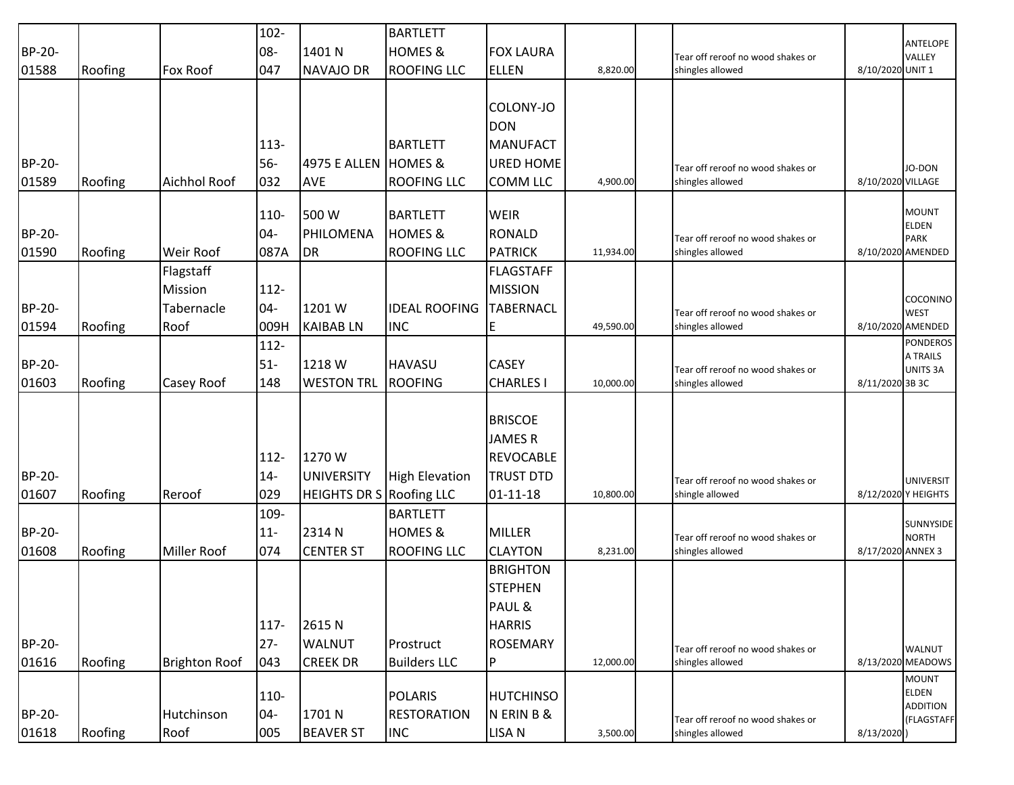|        |         |                      | $102 -$ |                                 | <b>BARTLETT</b>       |                                    |           |                                                       |                   |                                      |
|--------|---------|----------------------|---------|---------------------------------|-----------------------|------------------------------------|-----------|-------------------------------------------------------|-------------------|--------------------------------------|
| BP-20- |         |                      | 08-     | 1401 N                          | <b>HOMES &amp;</b>    | <b>FOX LAURA</b>                   |           | Tear off reroof no wood shakes or                     |                   | <b>ANTELOPE</b><br>VALLEY            |
| 01588  | Roofing | <b>Fox Roof</b>      | 047     | <b>NAVAJO DR</b>                | <b>ROOFING LLC</b>    | <b>ELLEN</b>                       | 8,820.00  | shingles allowed                                      | 8/10/2020 UNIT 1  |                                      |
|        |         |                      |         |                                 |                       |                                    |           |                                                       |                   |                                      |
|        |         |                      |         |                                 |                       | COLONY-JO                          |           |                                                       |                   |                                      |
|        |         |                      |         |                                 |                       | <b>DON</b>                         |           |                                                       |                   |                                      |
|        |         |                      | 113-    |                                 | <b>BARTLETT</b>       | <b>MANUFACT</b>                    |           |                                                       |                   |                                      |
| BP-20- |         |                      | $56-$   | 4975 E ALLEN HOMES &            |                       | <b>URED HOME</b>                   |           | Tear off reroof no wood shakes or                     |                   | JO-DON                               |
| 01589  | Roofing | <b>Aichhol Roof</b>  | 032     | <b>AVE</b>                      | <b>ROOFING LLC</b>    | <b>COMM LLC</b>                    | 4,900.00  | shingles allowed                                      | 8/10/2020 VILLAGE |                                      |
|        |         |                      | 110-    | 500 W                           | <b>BARTLETT</b>       | <b>WEIR</b>                        |           |                                                       |                   | <b>MOUNT</b>                         |
| BP-20- |         |                      | $04 -$  | PHILOMENA                       | <b>HOMES &amp;</b>    | <b>RONALD</b>                      |           |                                                       |                   | <b>ELDEN</b>                         |
|        |         | Weir Roof            |         |                                 |                       |                                    |           | Tear off reroof no wood shakes or<br>shingles allowed |                   | <b>PARK</b><br>8/10/2020 AMENDED     |
| 01590  | Roofing | Flagstaff            | 087A    | <b>DR</b>                       | <b>ROOFING LLC</b>    | <b>PATRICK</b><br><b>FLAGSTAFF</b> | 11,934.00 |                                                       |                   |                                      |
|        |         |                      |         |                                 |                       |                                    |           |                                                       |                   |                                      |
|        |         | Mission              | $112 -$ |                                 |                       | <b>MISSION</b>                     |           |                                                       |                   | COCONINO                             |
| BP-20- |         | Tabernacle           | $04 -$  | 1201 W                          | <b>IDEAL ROOFING</b>  | <b>TABERNACL</b>                   |           | Tear off reroof no wood shakes or                     |                   | <b>WEST</b>                          |
| 01594  | Roofing | Roof                 | 009H    | <b>KAIBAB LN</b>                | <b>INC</b>            | E                                  | 49,590.00 | shingles allowed                                      |                   | 8/10/2020 AMENDED<br><b>PONDEROS</b> |
|        |         |                      | $112 -$ |                                 |                       |                                    |           |                                                       |                   | A TRAILS                             |
| BP-20- |         |                      | $51-$   | 1218 W                          | <b>HAVASU</b>         | <b>CASEY</b>                       |           | Tear off reroof no wood shakes or                     |                   | <b>UNITS 3A</b>                      |
| 01603  | Roofing | Casey Roof           | 148     | <b>WESTON TRL</b>               | <b>ROOFING</b>        | <b>CHARLES I</b>                   | 10,000.00 | shingles allowed                                      | 8/11/2020 3B 3C   |                                      |
|        |         |                      |         |                                 |                       |                                    |           |                                                       |                   |                                      |
|        |         |                      |         |                                 |                       | <b>BRISCOE</b>                     |           |                                                       |                   |                                      |
|        |         |                      |         |                                 |                       | <b>JAMESR</b>                      |           |                                                       |                   |                                      |
|        |         |                      | $112 -$ | 1270 W                          |                       | <b>REVOCABLE</b>                   |           |                                                       |                   |                                      |
| BP-20- |         |                      | $14-$   | <b>UNIVERSITY</b>               | <b>High Elevation</b> | <b>TRUST DTD</b>                   |           | Tear off reroof no wood shakes or                     |                   | <b>UNIVERSIT</b>                     |
| 01607  | Roofing | Reroof               | 029     | <b>HEIGHTS DR S Roofing LLC</b> |                       | 01-11-18                           | 10,800.00 | shingle allowed                                       |                   | 8/12/2020 Y HEIGHTS                  |
|        |         |                      | 109-    |                                 | <b>BARTLETT</b>       |                                    |           |                                                       |                   | SUNNYSIDE                            |
| BP-20- |         |                      | $11-$   | 2314 N                          | <b>HOMES &amp;</b>    | <b>MILLER</b>                      |           | Tear off reroof no wood shakes or                     |                   | <b>NORTH</b>                         |
| 01608  | Roofing | <b>Miller Roof</b>   | 074     | <b>CENTER ST</b>                | <b>ROOFING LLC</b>    | <b>CLAYTON</b>                     | 8,231.00  | shingles allowed                                      | 8/17/2020 ANNEX 3 |                                      |
|        |         |                      |         |                                 |                       | <b>BRIGHTON</b>                    |           |                                                       |                   |                                      |
|        |         |                      |         |                                 |                       | <b>STEPHEN</b>                     |           |                                                       |                   |                                      |
|        |         |                      |         |                                 |                       | PAUL &                             |           |                                                       |                   |                                      |
|        |         |                      | $117 -$ | 2615N                           |                       | <b>HARRIS</b>                      |           |                                                       |                   |                                      |
| BP-20- |         |                      | $27 -$  | <b>WALNUT</b>                   | Prostruct             | <b>ROSEMARY</b>                    |           | Tear off reroof no wood shakes or                     |                   | <b>WALNUT</b>                        |
| 01616  | Roofing | <b>Brighton Roof</b> | 043     | <b>CREEK DR</b>                 | <b>Builders LLC</b>   | $\mathsf{P}$                       | 12,000.00 | shingles allowed                                      |                   | 8/13/2020 MEADOWS                    |
|        |         |                      | 110-    |                                 | <b>POLARIS</b>        | <b>HUTCHINSO</b>                   |           |                                                       |                   | <b>MOUNT</b><br><b>ELDEN</b>         |
| BP-20- |         |                      |         |                                 |                       |                                    |           |                                                       |                   | <b>ADDITION</b>                      |
|        |         | Hutchinson           | $04 -$  | 1701N                           | <b>RESTORATION</b>    | N ERIN B &                         |           | Tear off reroof no wood shakes or                     |                   | (FLAGSTAFF                           |
| 01618  | Roofing | Roof                 | 005     | <b>BEAVER ST</b>                | <b>INC</b>            | LISA N                             | 3,500.00  | shingles allowed                                      | 8/13/2020)        |                                      |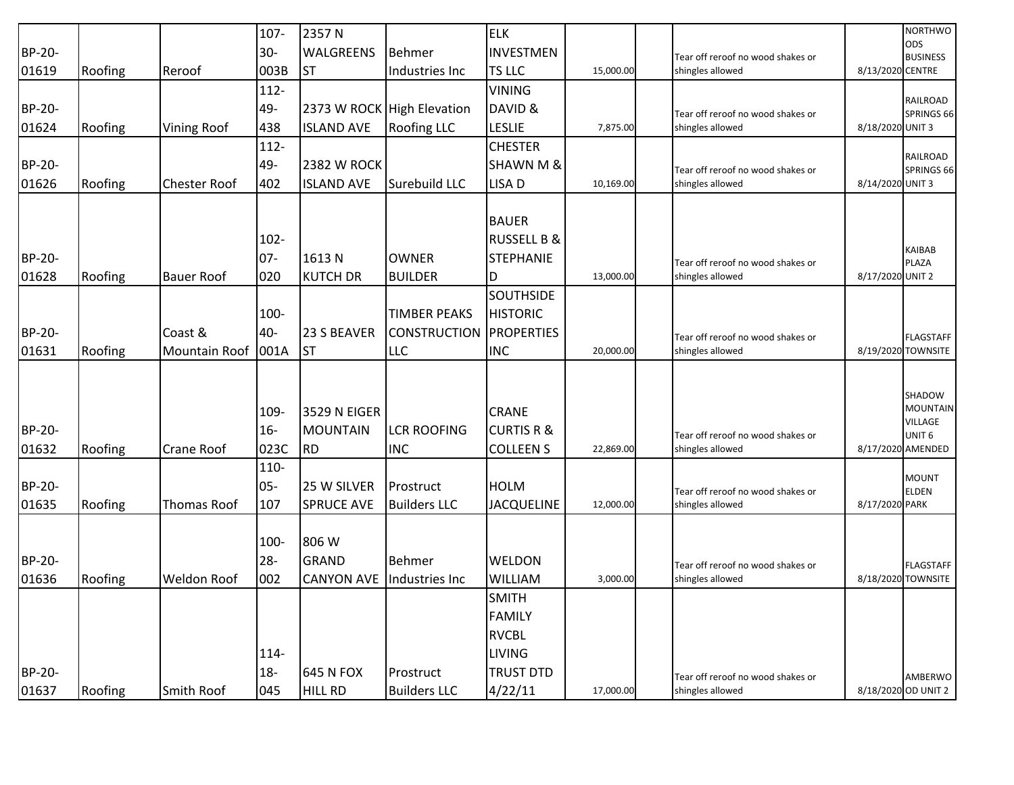|        |         |                      | 107-    | 2357N               |                            | <b>ELK</b>             |           |                                                       |                  | <b>NORTHWO</b>                         |
|--------|---------|----------------------|---------|---------------------|----------------------------|------------------------|-----------|-------------------------------------------------------|------------------|----------------------------------------|
| BP-20- |         |                      | $30 -$  | <b>WALGREENS</b>    | <b>Behmer</b>              | <b>INVESTMEN</b>       |           | Tear off reroof no wood shakes or                     |                  | <b>ODS</b><br><b>BUSINESS</b>          |
| 01619  | Roofing | Reroof               | 003B    | <b>ST</b>           | Industries Inc             | TS LLC                 | 15,000.00 | shingles allowed                                      | 8/13/2020 CENTRE |                                        |
|        |         |                      | 112-    |                     |                            | <b>VINING</b>          |           |                                                       |                  |                                        |
| BP-20- |         |                      | 49-     |                     | 2373 W ROCK High Elevation | DAVID &                |           | Tear off reroof no wood shakes or                     |                  | RAILROAD<br>SPRINGS 66                 |
| 01624  | Roofing | <b>Vining Roof</b>   | 438     | <b>ISLAND AVE</b>   | <b>Roofing LLC</b>         | <b>LESLIE</b>          | 7,875.00  | shingles allowed                                      | 8/18/2020 UNIT 3 |                                        |
|        |         |                      | 112-    |                     |                            | <b>CHESTER</b>         |           |                                                       |                  |                                        |
| BP-20- |         |                      | 49-     | <b>2382 W ROCK</b>  |                            | <b>SHAWN M &amp;</b>   |           | Tear off reroof no wood shakes or                     |                  | RAILROAD<br>SPRINGS 66                 |
| 01626  | Roofing | <b>Chester Roof</b>  | 402     | <b>ISLAND AVE</b>   | Surebuild LLC              | LISA D                 | 10,169.00 | shingles allowed                                      | 8/14/2020 UNIT 3 |                                        |
|        |         |                      |         |                     |                            |                        |           |                                                       |                  |                                        |
|        |         |                      |         |                     |                            | <b>BAUER</b>           |           |                                                       |                  |                                        |
|        |         |                      | $102 -$ |                     |                            | <b>RUSSELL B &amp;</b> |           |                                                       |                  |                                        |
| BP-20- |         |                      | $07-$   | 1613N               | <b>OWNER</b>               | <b>STEPHANIE</b>       |           | Tear off reroof no wood shakes or                     |                  | KAIBAB<br><b>PLAZA</b>                 |
| 01628  | Roofing | <b>Bauer Roof</b>    | 020     | <b>KUTCH DR</b>     | <b>BUILDER</b>             | D                      | 13,000.00 | shingles allowed                                      | 8/17/2020 UNIT 2 |                                        |
|        |         |                      |         |                     |                            | <b>SOUTHSIDE</b>       |           |                                                       |                  |                                        |
|        |         |                      | 100-    |                     | <b>TIMBER PEAKS</b>        | <b>HISTORIC</b>        |           |                                                       |                  |                                        |
| BP-20- |         | Coast &              | 40-     | 23 S BEAVER         | <b>CONSTRUCTION</b>        | <b>PROPERTIES</b>      |           | Tear off reroof no wood shakes or                     |                  | <b>FLAGSTAFF</b>                       |
| 01631  | Roofing | <b>Mountain Roof</b> | 001A    | <b>ST</b>           | <b>LLC</b>                 | <b>INC</b>             | 20,000.00 | shingles allowed                                      |                  | 8/19/2020 TOWNSITE                     |
|        |         |                      |         |                     |                            |                        |           |                                                       |                  |                                        |
|        |         |                      |         |                     |                            |                        |           |                                                       |                  | SHADOW                                 |
|        |         |                      | 109-    | <b>3529 N EIGER</b> |                            | <b>CRANE</b>           |           |                                                       |                  | <b>MOUNTAIN</b>                        |
| BP-20- |         |                      | $16 -$  | <b>MOUNTAIN</b>     | <b>LCR ROOFING</b>         | <b>CURTIS R &amp;</b>  |           |                                                       |                  | <b>VILLAGE</b>                         |
| 01632  | Roofing | Crane Roof           | 023C    | <b>RD</b>           | <b>INC</b>                 | <b>COLLEEN S</b>       | 22,869.00 | Tear off reroof no wood shakes or<br>shingles allowed |                  | UNIT <sub>6</sub><br>8/17/2020 AMENDED |
|        |         |                      | 110-    |                     |                            |                        |           |                                                       |                  |                                        |
| BP-20- |         |                      | 05-     | 25 W SILVER         | Prostruct                  | <b>HOLM</b>            |           | Tear off reroof no wood shakes or                     |                  | <b>MOUNT</b><br><b>ELDEN</b>           |
| 01635  | Roofing | Thomas Roof          | 107     | <b>SPRUCE AVE</b>   | <b>Builders LLC</b>        | <b>JACQUELINE</b>      | 12,000.00 | shingles allowed                                      | 8/17/2020 PARK   |                                        |
|        |         |                      |         |                     |                            |                        |           |                                                       |                  |                                        |
|        |         |                      | 100-    | 806 W               |                            |                        |           |                                                       |                  |                                        |
| BP-20- |         |                      | $28 -$  | <b>GRAND</b>        | <b>Behmer</b>              | <b>WELDON</b>          |           | Tear off reroof no wood shakes or                     |                  | <b>FLAGSTAFF</b>                       |
| 01636  | Roofing | <b>Weldon Roof</b>   | 002     | <b>CANYON AVE</b>   | Industries Inc             | <b>WILLIAM</b>         | 3,000.00  | shingles allowed                                      |                  | 8/18/2020 TOWNSITE                     |
|        |         |                      |         |                     |                            | <b>SMITH</b>           |           |                                                       |                  |                                        |
|        |         |                      |         |                     |                            | <b>FAMILY</b>          |           |                                                       |                  |                                        |
|        |         |                      |         |                     |                            | <b>RVCBL</b>           |           |                                                       |                  |                                        |
|        |         |                      | 114-    |                     |                            | <b>LIVING</b>          |           |                                                       |                  |                                        |
| BP-20- |         |                      | $18 -$  | 645 N FOX           | Prostruct                  | <b>TRUST DTD</b>       |           | Tear off reroof no wood shakes or                     |                  | AMBERWO                                |
| 01637  | Roofing | Smith Roof           | 045     | <b>HILL RD</b>      | <b>Builders LLC</b>        | 4/22/11                | 17,000.00 | shingles allowed                                      |                  | 8/18/2020 OD UNIT 2                    |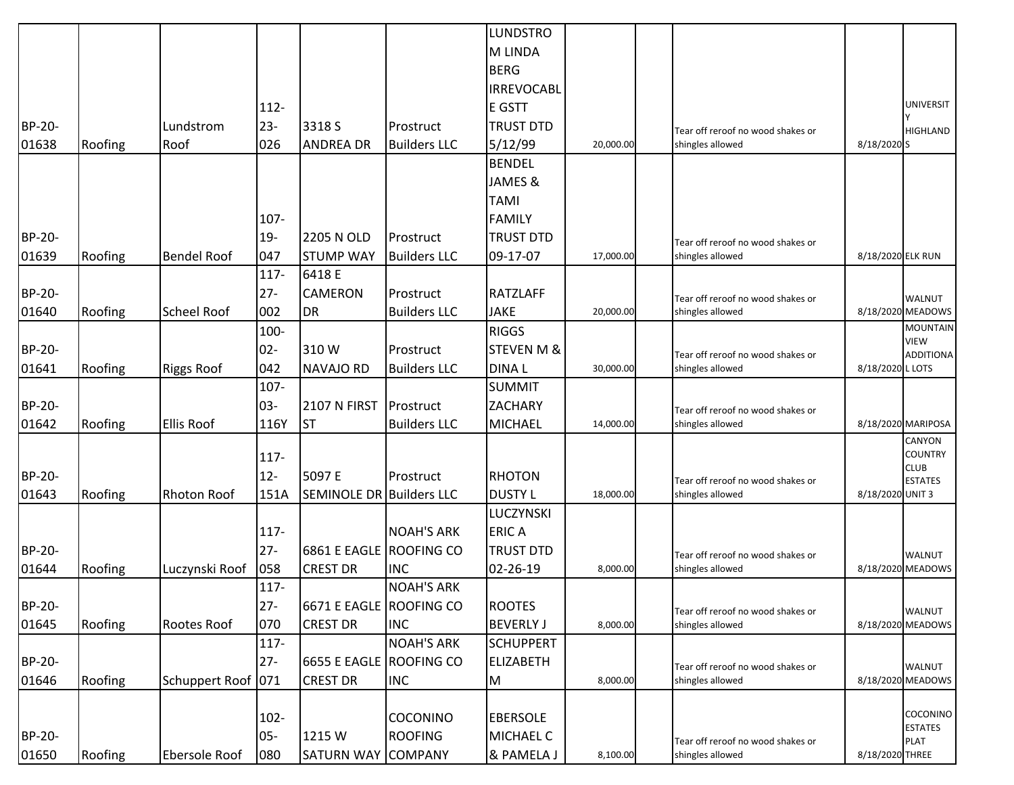| M LINDA<br><b>BERG</b><br><b>IRREVOCABL</b><br><b>UNIVERSIT</b><br>112-<br>E GSTT<br><b>BP-20-</b><br>$23 -$<br>Lundstrom<br>3318 S<br><b>TRUST DTD</b><br>Prostruct<br>Tear off reroof no wood shakes or<br><b>HIGHLAND</b><br>026<br>01638<br><b>ANDREA DR</b><br><b>Builders LLC</b><br>5/12/99<br>8/18/2020 S<br>Roofing<br>Roof<br>20,000.00<br>shingles allowed<br><b>BENDEL</b><br>JAMES &<br><b>TAMI</b><br>107-<br><b>FAMILY</b><br>BP-20-<br>$19 -$<br>2205 N OLD<br><b>TRUST DTD</b><br>Prostruct<br>Tear off reroof no wood shakes or<br>01639<br><b>Bendel Roof</b><br>047<br>09-17-07<br>Roofing<br><b>STUMP WAY</b><br><b>Builders LLC</b><br>17,000.00<br>shingles allowed<br>8/18/2020 ELK RUN<br>$117 -$<br>6418 E<br>BP-20-<br>$27 -$<br><b>CAMERON</b><br><b>RATZLAFF</b><br>Prostruct<br>Tear off reroof no wood shakes or<br><b>WALNUT</b><br>DR<br>01640<br><b>Scheel Roof</b><br>002<br><b>Builders LLC</b><br><b>JAKE</b><br>shingles allowed<br>8/18/2020 MEADOWS<br>Roofing<br>20,000.00<br><b>MOUNTAIN</b><br>100-<br><b>RIGGS</b><br><b>VIEW</b><br>BP-20-<br>$02 -$<br>310W<br><b>STEVEN M &amp;</b><br>Prostruct<br><b>ADDITIONA</b><br>Tear off reroof no wood shakes or<br>01641<br>Roofing<br>042<br><b>DINAL</b><br><b>Riggs Roof</b><br><b>NAVAJO RD</b><br><b>Builders LLC</b><br>shingles allowed<br>8/18/2020 L LOTS<br>30,000.00<br>$107 -$<br><b>SUMMIT</b><br>03-<br>BP-20-<br><b>2107 N FIRST</b><br>Prostruct<br><b>ZACHARY</b><br>Tear off reroof no wood shakes or<br><b>ST</b><br>01642<br>Roofing<br><b>Ellis Roof</b><br>116Y<br><b>MICHAEL</b><br>8/18/2020 MARIPOSA<br><b>Builders LLC</b><br>14,000.00<br>shingles allowed<br>CANYON<br><b>COUNTRY</b><br>$117 -$<br><b>CLUB</b><br>$12-$<br>BP-20-<br>5097 E<br><b>RHOTON</b><br>Prostruct<br><b>ESTATES</b><br>Tear off reroof no wood shakes or<br>01643<br>151A<br><b>SEMINOLE DR Builders LLC</b><br><b>DUSTY L</b><br>Roofing<br><b>Rhoton Roof</b><br>18,000.00<br>shingles allowed<br>8/18/2020 UNIT 3<br>LUCZYNSKI<br>117-<br><b>NOAH'S ARK</b><br><b>ERICA</b><br>$27 -$<br>BP-20-<br>6861 E EAGLE ROOFING CO<br><b>TRUST DTD</b><br>Tear off reroof no wood shakes or<br><b>WALNUT</b><br>01644<br>058<br><b>CREST DR</b><br><b>INC</b><br>02-26-19<br>Roofing<br>Luczynski Roof<br>8,000.00<br>shingles allowed<br>8/18/2020 MEADOWS<br>$117 -$<br><b>NOAH'S ARK</b><br>$27 -$<br>BP-20-<br>6671 E EAGLE ROOFING CO<br><b>ROOTES</b><br><b>WALNUT</b><br>Tear off reroof no wood shakes or<br>070<br>01645<br>Roofing<br><b>CREST DR</b><br>Rootes Roof<br><b>INC</b><br><b>BEVERLY J</b><br>8/18/2020 MEADOWS<br>8,000.00<br>shingles allowed<br><b>NOAH'S ARK</b><br>$117 -$<br><b>SCHUPPERT</b><br>$27 -$<br>BP-20-<br>6655 E EAGLE ROOFING CO<br><b>ELIZABETH</b><br><b>WALNUT</b><br>Tear off reroof no wood shakes or<br>Roofing<br>Schuppert Roof 071<br>01646<br><b>CREST DR</b><br><b>INC</b><br>M<br>8,000.00<br>shingles allowed<br>8/18/2020 MEADOWS |        |  |  | <b>LUNDSTRO</b> |  |  |  |
|----------------------------------------------------------------------------------------------------------------------------------------------------------------------------------------------------------------------------------------------------------------------------------------------------------------------------------------------------------------------------------------------------------------------------------------------------------------------------------------------------------------------------------------------------------------------------------------------------------------------------------------------------------------------------------------------------------------------------------------------------------------------------------------------------------------------------------------------------------------------------------------------------------------------------------------------------------------------------------------------------------------------------------------------------------------------------------------------------------------------------------------------------------------------------------------------------------------------------------------------------------------------------------------------------------------------------------------------------------------------------------------------------------------------------------------------------------------------------------------------------------------------------------------------------------------------------------------------------------------------------------------------------------------------------------------------------------------------------------------------------------------------------------------------------------------------------------------------------------------------------------------------------------------------------------------------------------------------------------------------------------------------------------------------------------------------------------------------------------------------------------------------------------------------------------------------------------------------------------------------------------------------------------------------------------------------------------------------------------------------------------------------------------------------------------------------------------------------------------------------------------------------------------------------------------------------------------------------------------------------------------------------------------------------------------------------------------------------------------------------------------------------------------------------------------------------------------------------------------------------------------------------------------------------------------------------------------------------------------|--------|--|--|-----------------|--|--|--|
|                                                                                                                                                                                                                                                                                                                                                                                                                                                                                                                                                                                                                                                                                                                                                                                                                                                                                                                                                                                                                                                                                                                                                                                                                                                                                                                                                                                                                                                                                                                                                                                                                                                                                                                                                                                                                                                                                                                                                                                                                                                                                                                                                                                                                                                                                                                                                                                                                                                                                                                                                                                                                                                                                                                                                                                                                                                                                                                                                                                  |        |  |  |                 |  |  |  |
|                                                                                                                                                                                                                                                                                                                                                                                                                                                                                                                                                                                                                                                                                                                                                                                                                                                                                                                                                                                                                                                                                                                                                                                                                                                                                                                                                                                                                                                                                                                                                                                                                                                                                                                                                                                                                                                                                                                                                                                                                                                                                                                                                                                                                                                                                                                                                                                                                                                                                                                                                                                                                                                                                                                                                                                                                                                                                                                                                                                  |        |  |  |                 |  |  |  |
|                                                                                                                                                                                                                                                                                                                                                                                                                                                                                                                                                                                                                                                                                                                                                                                                                                                                                                                                                                                                                                                                                                                                                                                                                                                                                                                                                                                                                                                                                                                                                                                                                                                                                                                                                                                                                                                                                                                                                                                                                                                                                                                                                                                                                                                                                                                                                                                                                                                                                                                                                                                                                                                                                                                                                                                                                                                                                                                                                                                  |        |  |  |                 |  |  |  |
|                                                                                                                                                                                                                                                                                                                                                                                                                                                                                                                                                                                                                                                                                                                                                                                                                                                                                                                                                                                                                                                                                                                                                                                                                                                                                                                                                                                                                                                                                                                                                                                                                                                                                                                                                                                                                                                                                                                                                                                                                                                                                                                                                                                                                                                                                                                                                                                                                                                                                                                                                                                                                                                                                                                                                                                                                                                                                                                                                                                  |        |  |  |                 |  |  |  |
|                                                                                                                                                                                                                                                                                                                                                                                                                                                                                                                                                                                                                                                                                                                                                                                                                                                                                                                                                                                                                                                                                                                                                                                                                                                                                                                                                                                                                                                                                                                                                                                                                                                                                                                                                                                                                                                                                                                                                                                                                                                                                                                                                                                                                                                                                                                                                                                                                                                                                                                                                                                                                                                                                                                                                                                                                                                                                                                                                                                  |        |  |  |                 |  |  |  |
|                                                                                                                                                                                                                                                                                                                                                                                                                                                                                                                                                                                                                                                                                                                                                                                                                                                                                                                                                                                                                                                                                                                                                                                                                                                                                                                                                                                                                                                                                                                                                                                                                                                                                                                                                                                                                                                                                                                                                                                                                                                                                                                                                                                                                                                                                                                                                                                                                                                                                                                                                                                                                                                                                                                                                                                                                                                                                                                                                                                  |        |  |  |                 |  |  |  |
|                                                                                                                                                                                                                                                                                                                                                                                                                                                                                                                                                                                                                                                                                                                                                                                                                                                                                                                                                                                                                                                                                                                                                                                                                                                                                                                                                                                                                                                                                                                                                                                                                                                                                                                                                                                                                                                                                                                                                                                                                                                                                                                                                                                                                                                                                                                                                                                                                                                                                                                                                                                                                                                                                                                                                                                                                                                                                                                                                                                  |        |  |  |                 |  |  |  |
|                                                                                                                                                                                                                                                                                                                                                                                                                                                                                                                                                                                                                                                                                                                                                                                                                                                                                                                                                                                                                                                                                                                                                                                                                                                                                                                                                                                                                                                                                                                                                                                                                                                                                                                                                                                                                                                                                                                                                                                                                                                                                                                                                                                                                                                                                                                                                                                                                                                                                                                                                                                                                                                                                                                                                                                                                                                                                                                                                                                  |        |  |  |                 |  |  |  |
|                                                                                                                                                                                                                                                                                                                                                                                                                                                                                                                                                                                                                                                                                                                                                                                                                                                                                                                                                                                                                                                                                                                                                                                                                                                                                                                                                                                                                                                                                                                                                                                                                                                                                                                                                                                                                                                                                                                                                                                                                                                                                                                                                                                                                                                                                                                                                                                                                                                                                                                                                                                                                                                                                                                                                                                                                                                                                                                                                                                  |        |  |  |                 |  |  |  |
|                                                                                                                                                                                                                                                                                                                                                                                                                                                                                                                                                                                                                                                                                                                                                                                                                                                                                                                                                                                                                                                                                                                                                                                                                                                                                                                                                                                                                                                                                                                                                                                                                                                                                                                                                                                                                                                                                                                                                                                                                                                                                                                                                                                                                                                                                                                                                                                                                                                                                                                                                                                                                                                                                                                                                                                                                                                                                                                                                                                  |        |  |  |                 |  |  |  |
|                                                                                                                                                                                                                                                                                                                                                                                                                                                                                                                                                                                                                                                                                                                                                                                                                                                                                                                                                                                                                                                                                                                                                                                                                                                                                                                                                                                                                                                                                                                                                                                                                                                                                                                                                                                                                                                                                                                                                                                                                                                                                                                                                                                                                                                                                                                                                                                                                                                                                                                                                                                                                                                                                                                                                                                                                                                                                                                                                                                  |        |  |  |                 |  |  |  |
|                                                                                                                                                                                                                                                                                                                                                                                                                                                                                                                                                                                                                                                                                                                                                                                                                                                                                                                                                                                                                                                                                                                                                                                                                                                                                                                                                                                                                                                                                                                                                                                                                                                                                                                                                                                                                                                                                                                                                                                                                                                                                                                                                                                                                                                                                                                                                                                                                                                                                                                                                                                                                                                                                                                                                                                                                                                                                                                                                                                  |        |  |  |                 |  |  |  |
|                                                                                                                                                                                                                                                                                                                                                                                                                                                                                                                                                                                                                                                                                                                                                                                                                                                                                                                                                                                                                                                                                                                                                                                                                                                                                                                                                                                                                                                                                                                                                                                                                                                                                                                                                                                                                                                                                                                                                                                                                                                                                                                                                                                                                                                                                                                                                                                                                                                                                                                                                                                                                                                                                                                                                                                                                                                                                                                                                                                  |        |  |  |                 |  |  |  |
|                                                                                                                                                                                                                                                                                                                                                                                                                                                                                                                                                                                                                                                                                                                                                                                                                                                                                                                                                                                                                                                                                                                                                                                                                                                                                                                                                                                                                                                                                                                                                                                                                                                                                                                                                                                                                                                                                                                                                                                                                                                                                                                                                                                                                                                                                                                                                                                                                                                                                                                                                                                                                                                                                                                                                                                                                                                                                                                                                                                  |        |  |  |                 |  |  |  |
|                                                                                                                                                                                                                                                                                                                                                                                                                                                                                                                                                                                                                                                                                                                                                                                                                                                                                                                                                                                                                                                                                                                                                                                                                                                                                                                                                                                                                                                                                                                                                                                                                                                                                                                                                                                                                                                                                                                                                                                                                                                                                                                                                                                                                                                                                                                                                                                                                                                                                                                                                                                                                                                                                                                                                                                                                                                                                                                                                                                  |        |  |  |                 |  |  |  |
|                                                                                                                                                                                                                                                                                                                                                                                                                                                                                                                                                                                                                                                                                                                                                                                                                                                                                                                                                                                                                                                                                                                                                                                                                                                                                                                                                                                                                                                                                                                                                                                                                                                                                                                                                                                                                                                                                                                                                                                                                                                                                                                                                                                                                                                                                                                                                                                                                                                                                                                                                                                                                                                                                                                                                                                                                                                                                                                                                                                  |        |  |  |                 |  |  |  |
|                                                                                                                                                                                                                                                                                                                                                                                                                                                                                                                                                                                                                                                                                                                                                                                                                                                                                                                                                                                                                                                                                                                                                                                                                                                                                                                                                                                                                                                                                                                                                                                                                                                                                                                                                                                                                                                                                                                                                                                                                                                                                                                                                                                                                                                                                                                                                                                                                                                                                                                                                                                                                                                                                                                                                                                                                                                                                                                                                                                  |        |  |  |                 |  |  |  |
|                                                                                                                                                                                                                                                                                                                                                                                                                                                                                                                                                                                                                                                                                                                                                                                                                                                                                                                                                                                                                                                                                                                                                                                                                                                                                                                                                                                                                                                                                                                                                                                                                                                                                                                                                                                                                                                                                                                                                                                                                                                                                                                                                                                                                                                                                                                                                                                                                                                                                                                                                                                                                                                                                                                                                                                                                                                                                                                                                                                  |        |  |  |                 |  |  |  |
|                                                                                                                                                                                                                                                                                                                                                                                                                                                                                                                                                                                                                                                                                                                                                                                                                                                                                                                                                                                                                                                                                                                                                                                                                                                                                                                                                                                                                                                                                                                                                                                                                                                                                                                                                                                                                                                                                                                                                                                                                                                                                                                                                                                                                                                                                                                                                                                                                                                                                                                                                                                                                                                                                                                                                                                                                                                                                                                                                                                  |        |  |  |                 |  |  |  |
|                                                                                                                                                                                                                                                                                                                                                                                                                                                                                                                                                                                                                                                                                                                                                                                                                                                                                                                                                                                                                                                                                                                                                                                                                                                                                                                                                                                                                                                                                                                                                                                                                                                                                                                                                                                                                                                                                                                                                                                                                                                                                                                                                                                                                                                                                                                                                                                                                                                                                                                                                                                                                                                                                                                                                                                                                                                                                                                                                                                  |        |  |  |                 |  |  |  |
|                                                                                                                                                                                                                                                                                                                                                                                                                                                                                                                                                                                                                                                                                                                                                                                                                                                                                                                                                                                                                                                                                                                                                                                                                                                                                                                                                                                                                                                                                                                                                                                                                                                                                                                                                                                                                                                                                                                                                                                                                                                                                                                                                                                                                                                                                                                                                                                                                                                                                                                                                                                                                                                                                                                                                                                                                                                                                                                                                                                  |        |  |  |                 |  |  |  |
|                                                                                                                                                                                                                                                                                                                                                                                                                                                                                                                                                                                                                                                                                                                                                                                                                                                                                                                                                                                                                                                                                                                                                                                                                                                                                                                                                                                                                                                                                                                                                                                                                                                                                                                                                                                                                                                                                                                                                                                                                                                                                                                                                                                                                                                                                                                                                                                                                                                                                                                                                                                                                                                                                                                                                                                                                                                                                                                                                                                  |        |  |  |                 |  |  |  |
|                                                                                                                                                                                                                                                                                                                                                                                                                                                                                                                                                                                                                                                                                                                                                                                                                                                                                                                                                                                                                                                                                                                                                                                                                                                                                                                                                                                                                                                                                                                                                                                                                                                                                                                                                                                                                                                                                                                                                                                                                                                                                                                                                                                                                                                                                                                                                                                                                                                                                                                                                                                                                                                                                                                                                                                                                                                                                                                                                                                  |        |  |  |                 |  |  |  |
|                                                                                                                                                                                                                                                                                                                                                                                                                                                                                                                                                                                                                                                                                                                                                                                                                                                                                                                                                                                                                                                                                                                                                                                                                                                                                                                                                                                                                                                                                                                                                                                                                                                                                                                                                                                                                                                                                                                                                                                                                                                                                                                                                                                                                                                                                                                                                                                                                                                                                                                                                                                                                                                                                                                                                                                                                                                                                                                                                                                  |        |  |  |                 |  |  |  |
|                                                                                                                                                                                                                                                                                                                                                                                                                                                                                                                                                                                                                                                                                                                                                                                                                                                                                                                                                                                                                                                                                                                                                                                                                                                                                                                                                                                                                                                                                                                                                                                                                                                                                                                                                                                                                                                                                                                                                                                                                                                                                                                                                                                                                                                                                                                                                                                                                                                                                                                                                                                                                                                                                                                                                                                                                                                                                                                                                                                  |        |  |  |                 |  |  |  |
|                                                                                                                                                                                                                                                                                                                                                                                                                                                                                                                                                                                                                                                                                                                                                                                                                                                                                                                                                                                                                                                                                                                                                                                                                                                                                                                                                                                                                                                                                                                                                                                                                                                                                                                                                                                                                                                                                                                                                                                                                                                                                                                                                                                                                                                                                                                                                                                                                                                                                                                                                                                                                                                                                                                                                                                                                                                                                                                                                                                  |        |  |  |                 |  |  |  |
|                                                                                                                                                                                                                                                                                                                                                                                                                                                                                                                                                                                                                                                                                                                                                                                                                                                                                                                                                                                                                                                                                                                                                                                                                                                                                                                                                                                                                                                                                                                                                                                                                                                                                                                                                                                                                                                                                                                                                                                                                                                                                                                                                                                                                                                                                                                                                                                                                                                                                                                                                                                                                                                                                                                                                                                                                                                                                                                                                                                  |        |  |  |                 |  |  |  |
|                                                                                                                                                                                                                                                                                                                                                                                                                                                                                                                                                                                                                                                                                                                                                                                                                                                                                                                                                                                                                                                                                                                                                                                                                                                                                                                                                                                                                                                                                                                                                                                                                                                                                                                                                                                                                                                                                                                                                                                                                                                                                                                                                                                                                                                                                                                                                                                                                                                                                                                                                                                                                                                                                                                                                                                                                                                                                                                                                                                  |        |  |  |                 |  |  |  |
|                                                                                                                                                                                                                                                                                                                                                                                                                                                                                                                                                                                                                                                                                                                                                                                                                                                                                                                                                                                                                                                                                                                                                                                                                                                                                                                                                                                                                                                                                                                                                                                                                                                                                                                                                                                                                                                                                                                                                                                                                                                                                                                                                                                                                                                                                                                                                                                                                                                                                                                                                                                                                                                                                                                                                                                                                                                                                                                                                                                  |        |  |  |                 |  |  |  |
|                                                                                                                                                                                                                                                                                                                                                                                                                                                                                                                                                                                                                                                                                                                                                                                                                                                                                                                                                                                                                                                                                                                                                                                                                                                                                                                                                                                                                                                                                                                                                                                                                                                                                                                                                                                                                                                                                                                                                                                                                                                                                                                                                                                                                                                                                                                                                                                                                                                                                                                                                                                                                                                                                                                                                                                                                                                                                                                                                                                  |        |  |  |                 |  |  |  |
|                                                                                                                                                                                                                                                                                                                                                                                                                                                                                                                                                                                                                                                                                                                                                                                                                                                                                                                                                                                                                                                                                                                                                                                                                                                                                                                                                                                                                                                                                                                                                                                                                                                                                                                                                                                                                                                                                                                                                                                                                                                                                                                                                                                                                                                                                                                                                                                                                                                                                                                                                                                                                                                                                                                                                                                                                                                                                                                                                                                  |        |  |  |                 |  |  |  |
|                                                                                                                                                                                                                                                                                                                                                                                                                                                                                                                                                                                                                                                                                                                                                                                                                                                                                                                                                                                                                                                                                                                                                                                                                                                                                                                                                                                                                                                                                                                                                                                                                                                                                                                                                                                                                                                                                                                                                                                                                                                                                                                                                                                                                                                                                                                                                                                                                                                                                                                                                                                                                                                                                                                                                                                                                                                                                                                                                                                  |        |  |  |                 |  |  |  |
|                                                                                                                                                                                                                                                                                                                                                                                                                                                                                                                                                                                                                                                                                                                                                                                                                                                                                                                                                                                                                                                                                                                                                                                                                                                                                                                                                                                                                                                                                                                                                                                                                                                                                                                                                                                                                                                                                                                                                                                                                                                                                                                                                                                                                                                                                                                                                                                                                                                                                                                                                                                                                                                                                                                                                                                                                                                                                                                                                                                  |        |  |  |                 |  |  |  |
|                                                                                                                                                                                                                                                                                                                                                                                                                                                                                                                                                                                                                                                                                                                                                                                                                                                                                                                                                                                                                                                                                                                                                                                                                                                                                                                                                                                                                                                                                                                                                                                                                                                                                                                                                                                                                                                                                                                                                                                                                                                                                                                                                                                                                                                                                                                                                                                                                                                                                                                                                                                                                                                                                                                                                                                                                                                                                                                                                                                  |        |  |  |                 |  |  |  |
|                                                                                                                                                                                                                                                                                                                                                                                                                                                                                                                                                                                                                                                                                                                                                                                                                                                                                                                                                                                                                                                                                                                                                                                                                                                                                                                                                                                                                                                                                                                                                                                                                                                                                                                                                                                                                                                                                                                                                                                                                                                                                                                                                                                                                                                                                                                                                                                                                                                                                                                                                                                                                                                                                                                                                                                                                                                                                                                                                                                  |        |  |  |                 |  |  |  |
|                                                                                                                                                                                                                                                                                                                                                                                                                                                                                                                                                                                                                                                                                                                                                                                                                                                                                                                                                                                                                                                                                                                                                                                                                                                                                                                                                                                                                                                                                                                                                                                                                                                                                                                                                                                                                                                                                                                                                                                                                                                                                                                                                                                                                                                                                                                                                                                                                                                                                                                                                                                                                                                                                                                                                                                                                                                                                                                                                                                  |        |  |  |                 |  |  |  |
| COCONINO<br>$102 -$<br><b>COCONINO</b><br><b>EBERSOLE</b>                                                                                                                                                                                                                                                                                                                                                                                                                                                                                                                                                                                                                                                                                                                                                                                                                                                                                                                                                                                                                                                                                                                                                                                                                                                                                                                                                                                                                                                                                                                                                                                                                                                                                                                                                                                                                                                                                                                                                                                                                                                                                                                                                                                                                                                                                                                                                                                                                                                                                                                                                                                                                                                                                                                                                                                                                                                                                                                        |        |  |  |                 |  |  |  |
| <b>ESTATES</b><br>05-<br>1215 W<br><b>ROOFING</b><br>MICHAEL C                                                                                                                                                                                                                                                                                                                                                                                                                                                                                                                                                                                                                                                                                                                                                                                                                                                                                                                                                                                                                                                                                                                                                                                                                                                                                                                                                                                                                                                                                                                                                                                                                                                                                                                                                                                                                                                                                                                                                                                                                                                                                                                                                                                                                                                                                                                                                                                                                                                                                                                                                                                                                                                                                                                                                                                                                                                                                                                   | BP-20- |  |  |                 |  |  |  |
| Tear off reroof no wood shakes or<br><b>PLAT</b><br>Roofing<br>080<br>& PAMELA J<br><b>SATURN WAY</b><br><b>COMPANY</b><br>8/18/2020 THREE<br>Ebersole Roof<br>8,100.00<br>shingles allowed                                                                                                                                                                                                                                                                                                                                                                                                                                                                                                                                                                                                                                                                                                                                                                                                                                                                                                                                                                                                                                                                                                                                                                                                                                                                                                                                                                                                                                                                                                                                                                                                                                                                                                                                                                                                                                                                                                                                                                                                                                                                                                                                                                                                                                                                                                                                                                                                                                                                                                                                                                                                                                                                                                                                                                                      | 01650  |  |  |                 |  |  |  |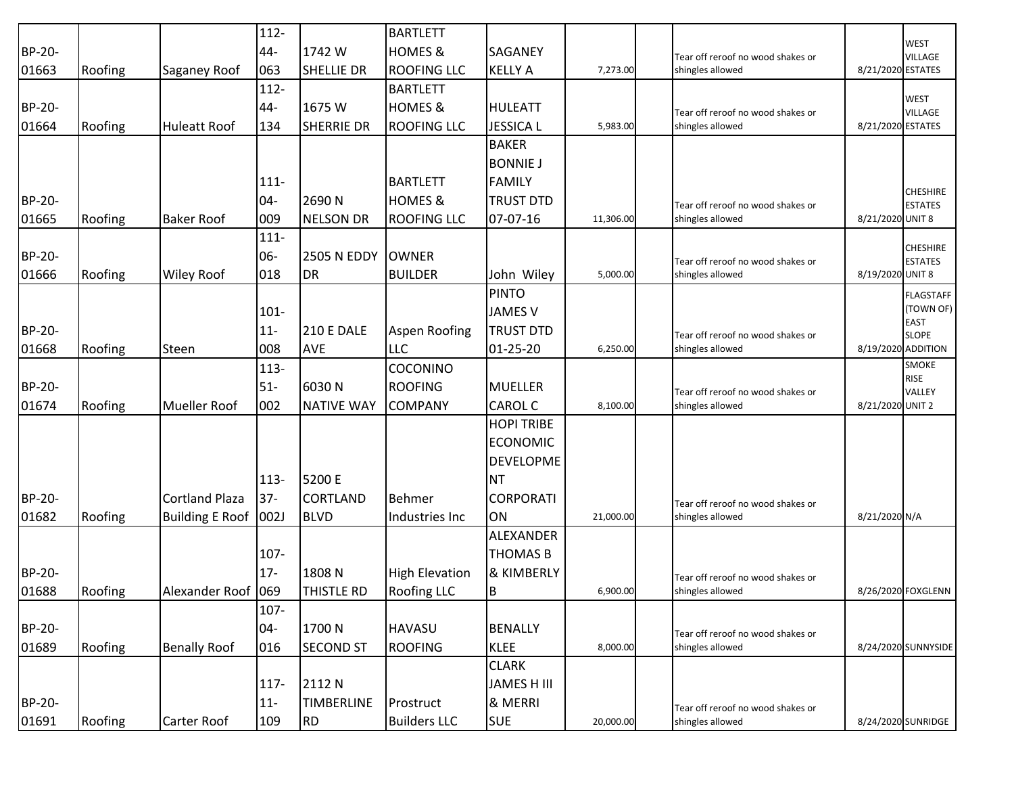|        |         |                        | $112 -$ |                    | <b>BARTLETT</b>       |                   |           |                                   |                   |                                   |
|--------|---------|------------------------|---------|--------------------|-----------------------|-------------------|-----------|-----------------------------------|-------------------|-----------------------------------|
| BP-20- |         |                        | 44-     | 1742 W             | <b>HOMES &amp;</b>    | <b>SAGANEY</b>    |           | Tear off reroof no wood shakes or |                   | <b>WEST</b><br><b>VILLAGE</b>     |
| 01663  | Roofing | <b>Saganey Roof</b>    | 063     | <b>SHELLIE DR</b>  | <b>ROOFING LLC</b>    | <b>KELLY A</b>    | 7,273.00  | shingles allowed                  | 8/21/2020 ESTATES |                                   |
|        |         |                        | $112 -$ |                    | <b>BARTLETT</b>       |                   |           |                                   |                   |                                   |
| BP-20- |         |                        | 44-     | 1675 W             | <b>HOMES &amp;</b>    | <b>HULEATT</b>    |           | Tear off reroof no wood shakes or |                   | <b>WEST</b><br><b>VILLAGE</b>     |
| 01664  | Roofing | <b>Huleatt Roof</b>    | 134     | <b>SHERRIE DR</b>  | <b>ROOFING LLC</b>    | <b>JESSICA L</b>  | 5,983.00  | shingles allowed                  | 8/21/2020 ESTATES |                                   |
|        |         |                        |         |                    |                       | <b>BAKER</b>      |           |                                   |                   |                                   |
|        |         |                        |         |                    |                       | <b>BONNIE J</b>   |           |                                   |                   |                                   |
|        |         |                        | $111 -$ |                    | <b>BARTLETT</b>       | <b>FAMILY</b>     |           |                                   |                   |                                   |
| BP-20- |         |                        | $04 -$  | 2690N              | <b>HOMES &amp;</b>    | <b>TRUST DTD</b>  |           | Tear off reroof no wood shakes or |                   | <b>CHESHIRE</b><br><b>ESTATES</b> |
| 01665  | Roofing | <b>Baker Roof</b>      | 009     | <b>NELSON DR</b>   | <b>ROOFING LLC</b>    | 07-07-16          | 11,306.00 | shingles allowed                  | 8/21/2020 UNIT 8  |                                   |
|        |         |                        | $111 -$ |                    |                       |                   |           |                                   |                   |                                   |
| BP-20- |         |                        | 06-     | <b>2505 N EDDY</b> | <b>OWNER</b>          |                   |           | Tear off reroof no wood shakes or |                   | <b>CHESHIRE</b><br><b>ESTATES</b> |
| 01666  | Roofing | <b>Wiley Roof</b>      | 018     | <b>DR</b>          | <b>BUILDER</b>        | John Wiley        | 5,000.00  | shingles allowed                  | 8/19/2020 UNIT 8  |                                   |
|        |         |                        |         |                    |                       | <b>PINTO</b>      |           |                                   |                   | <b>FLAGSTAFF</b>                  |
|        |         |                        | $101 -$ |                    |                       | <b>JAMES V</b>    |           |                                   |                   | (TOWN OF)                         |
| BP-20- |         |                        | $11-$   | <b>210 E DALE</b>  | <b>Aspen Roofing</b>  | <b>TRUST DTD</b>  |           | Tear off reroof no wood shakes or |                   | <b>EAST</b><br><b>SLOPE</b>       |
| 01668  | Roofing | Steen                  | 008     | <b>AVE</b>         | <b>LLC</b>            | 01-25-20          | 6,250.00  | shingles allowed                  |                   | 8/19/2020 ADDITION                |
|        |         |                        | $113 -$ |                    | <b>COCONINO</b>       |                   |           |                                   |                   | <b>SMOKE</b>                      |
| BP-20- |         |                        | $51-$   | 6030N              | <b>ROOFING</b>        | <b>MUELLER</b>    |           | Tear off reroof no wood shakes or |                   | <b>RISE</b><br>VALLEY             |
| 01674  | Roofing | <b>Mueller Roof</b>    | 002     | <b>NATIVE WAY</b>  | <b>COMPANY</b>        | <b>CAROL C</b>    | 8,100.00  | shingles allowed                  | 8/21/2020 UNIT 2  |                                   |
|        |         |                        |         |                    |                       | <b>HOPI TRIBE</b> |           |                                   |                   |                                   |
|        |         |                        |         |                    |                       | <b>ECONOMIC</b>   |           |                                   |                   |                                   |
|        |         |                        |         |                    |                       | <b>DEVELOPME</b>  |           |                                   |                   |                                   |
|        |         |                        | $113-$  | 5200 E             |                       | <b>NT</b>         |           |                                   |                   |                                   |
| BP-20- |         | <b>Cortland Plaza</b>  | $37-$   | <b>CORTLAND</b>    | <b>Behmer</b>         | <b>CORPORATI</b>  |           | Tear off reroof no wood shakes or |                   |                                   |
| 01682  | Roofing | Building E Roof   002J |         | <b>BLVD</b>        | Industries Inc        | ON                | 21,000.00 | shingles allowed                  | 8/21/2020 N/A     |                                   |
|        |         |                        |         |                    |                       | ALEXANDER         |           |                                   |                   |                                   |
|        |         |                        | 107-    |                    |                       | <b>THOMAS B</b>   |           |                                   |                   |                                   |
| BP-20- |         |                        | $17 -$  | 1808N              | <b>High Elevation</b> | & KIMBERLY        |           | Tear off reroof no wood shakes or |                   |                                   |
| 01688  | Roofing | Alexander Roof 069     |         | <b>THISTLE RD</b>  | <b>Roofing LLC</b>    | B                 | 6,900.00  | shingles allowed                  |                   | 8/26/2020 FOXGLENN                |
|        |         |                        | $107 -$ |                    |                       |                   |           |                                   |                   |                                   |
| BP-20- |         |                        | 04-     | 1700 N             | <b>HAVASU</b>         | <b>BENALLY</b>    |           | Tear off reroof no wood shakes or |                   |                                   |
| 01689  | Roofing | <b>Benally Roof</b>    | 016     | <b>SECOND ST</b>   | <b>ROOFING</b>        | <b>KLEE</b>       | 8,000.00  | shingles allowed                  |                   | 8/24/2020 SUNNYSIDE               |
|        |         |                        |         |                    |                       | <b>CLARK</b>      |           |                                   |                   |                                   |
|        |         |                        | $117 -$ | 2112 N             |                       | JAMES H III       |           |                                   |                   |                                   |
| BP-20- |         |                        | $11-$   | <b>TIMBERLINE</b>  | Prostruct             | & MERRI           |           | Tear off reroof no wood shakes or |                   |                                   |
| 01691  | Roofing | Carter Roof            | 109     | <b>RD</b>          | <b>Builders LLC</b>   | <b>SUE</b>        | 20,000.00 | shingles allowed                  |                   | 8/24/2020 SUNRIDGE                |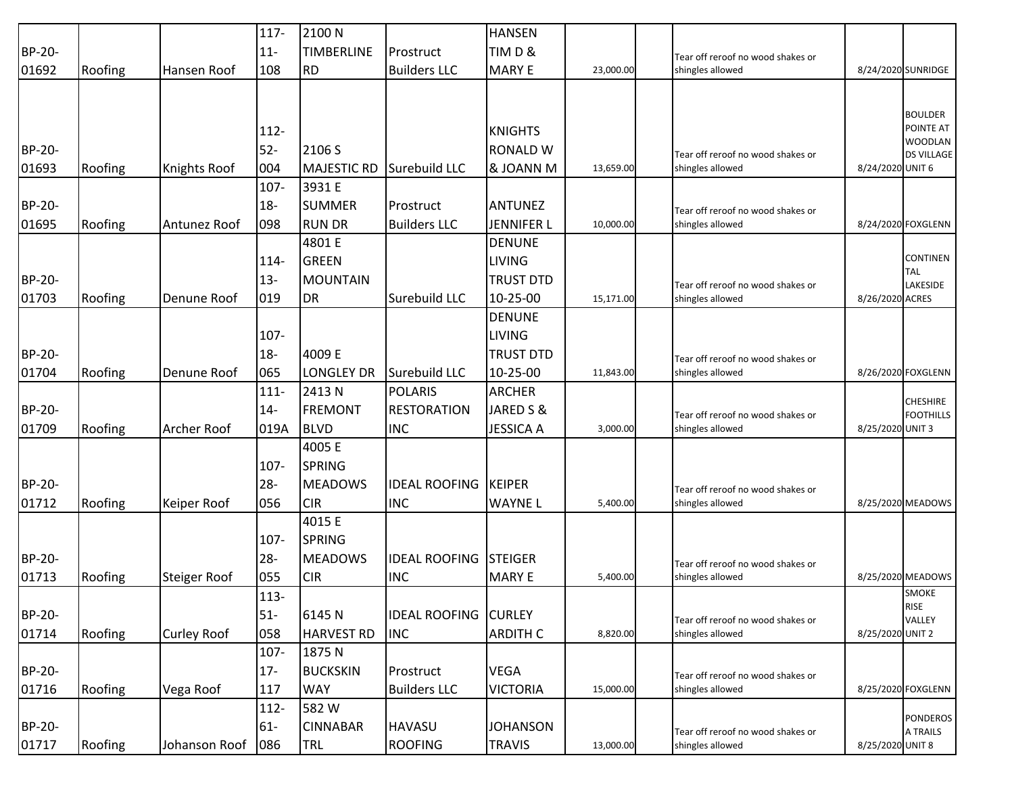|               |         |                     | $117 -$ | 2100 N             |                      | <b>HANSEN</b>     |           |                                                       |                  |                      |
|---------------|---------|---------------------|---------|--------------------|----------------------|-------------------|-----------|-------------------------------------------------------|------------------|----------------------|
| BP-20-        |         |                     | $11-$   | <b>TIMBERLINE</b>  | Prostruct            | TIMD&             |           | Tear off reroof no wood shakes or                     |                  |                      |
| 01692         | Roofing | Hansen Roof         | 108     | <b>RD</b>          | <b>Builders LLC</b>  | <b>MARY E</b>     | 23,000.00 | shingles allowed                                      |                  | 8/24/2020 SUNRIDGE   |
|               |         |                     |         |                    |                      |                   |           |                                                       |                  |                      |
|               |         |                     |         |                    |                      |                   |           |                                                       |                  | <b>BOULDER</b>       |
|               |         |                     | 112-    |                    |                      | <b>KNIGHTS</b>    |           |                                                       |                  | POINTE AT            |
| <b>BP-20-</b> |         |                     | $52-$   | 2106 S             |                      | <b>RONALD W</b>   |           |                                                       |                  | WOODLAN              |
| 01693         |         |                     | 004     | <b>MAJESTIC RD</b> | Surebuild LLC        | & JOANN M         | 13,659.00 | Tear off reroof no wood shakes or<br>shingles allowed | 8/24/2020 UNIT 6 | <b>DS VILLAGE</b>    |
|               | Roofing | Knights Roof        | 107-    | 3931 E             |                      |                   |           |                                                       |                  |                      |
| BP-20-        |         |                     | $18 -$  | <b>SUMMER</b>      | Prostruct            | <b>ANTUNEZ</b>    |           |                                                       |                  |                      |
| 01695         |         | Antunez Roof        | 098     | <b>RUN DR</b>      | <b>Builders LLC</b>  | <b>JENNIFER L</b> | 10,000.00 | Tear off reroof no wood shakes or<br>shingles allowed |                  | 8/24/2020 FOXGLENN   |
|               | Roofing |                     |         | 4801 E             |                      | <b>DENUNE</b>     |           |                                                       |                  |                      |
|               |         |                     |         | <b>GREEN</b>       |                      | <b>LIVING</b>     |           |                                                       |                  | <b>CONTINEN</b>      |
|               |         |                     | 114-    |                    |                      |                   |           |                                                       |                  | <b>TAL</b>           |
| BP-20-        |         |                     | $13 -$  | <b>MOUNTAIN</b>    |                      | <b>TRUST DTD</b>  |           | Tear off reroof no wood shakes or                     |                  | LAKESIDE             |
| 01703         | Roofing | Denune Roof         | 019     | <b>DR</b>          | Surebuild LLC        | 10-25-00          | 15,171.00 | shingles allowed                                      | 8/26/2020 ACRES  |                      |
|               |         |                     |         |                    |                      | <b>DENUNE</b>     |           |                                                       |                  |                      |
|               |         |                     | $107 -$ |                    |                      | <b>LIVING</b>     |           |                                                       |                  |                      |
| BP-20-        |         |                     | $18 -$  | 4009 E             |                      | <b>TRUST DTD</b>  |           | Tear off reroof no wood shakes or                     |                  |                      |
| 01704         | Roofing | Denune Roof         | 065     | <b>LONGLEY DR</b>  | Surebuild LLC        | 10-25-00          | 11,843.00 | shingles allowed                                      |                  | 8/26/2020 FOXGLENN   |
|               |         |                     | $111 -$ | 2413N              | POLARIS              | <b>ARCHER</b>     |           |                                                       |                  | <b>CHESHIRE</b>      |
| BP-20-        |         |                     | $14-$   | <b>FREMONT</b>     | <b>RESTORATION</b>   | JARED S &         |           | Tear off reroof no wood shakes or                     |                  | <b>FOOTHILLS</b>     |
| 01709         | Roofing | Archer Roof         | 019A    | <b>BLVD</b>        | <b>INC</b>           | <b>JESSICA A</b>  | 3,000.00  | shingles allowed                                      | 8/25/2020 UNIT 3 |                      |
|               |         |                     |         | 4005 E             |                      |                   |           |                                                       |                  |                      |
|               |         |                     | $107 -$ | <b>SPRING</b>      |                      |                   |           |                                                       |                  |                      |
| BP-20-        |         |                     | $28 -$  | <b>MEADOWS</b>     | <b>IDEAL ROOFING</b> | <b>KEIPER</b>     |           | Tear off reroof no wood shakes or                     |                  |                      |
| 01712         | Roofing | Keiper Roof         | 056     | <b>CIR</b>         | <b>INC</b>           | <b>WAYNE L</b>    | 5,400.00  | shingles allowed                                      |                  | 8/25/2020 MEADOWS    |
|               |         |                     |         | 4015 E             |                      |                   |           |                                                       |                  |                      |
|               |         |                     | $107 -$ | <b>SPRING</b>      |                      |                   |           |                                                       |                  |                      |
| BP-20-        |         |                     | $28 -$  | <b>MEADOWS</b>     | <b>IDEAL ROOFING</b> | <b>STEIGER</b>    |           | Tear off reroof no wood shakes or                     |                  |                      |
| 01713         | Roofing | <b>Steiger Roof</b> | 055     | <b>CIR</b>         | <b>INC</b>           | <b>MARY E</b>     | 5,400.00  | shingles allowed                                      |                  | 8/25/2020 MEADOWS    |
|               |         |                     | $113 -$ |                    |                      |                   |           |                                                       |                  | SMOKE<br><b>RISE</b> |
| BP-20-        |         |                     | $51-$   | 6145 N             | <b>IDEAL ROOFING</b> | <b>CURLEY</b>     |           | Tear off reroof no wood shakes or                     |                  | VALLEY               |
| 01714         | Roofing | <b>Curley Roof</b>  | 058     | <b>HARVEST RD</b>  | <b>INC</b>           | <b>ARDITH C</b>   | 8,820.00  | shingles allowed                                      | 8/25/2020 UNIT 2 |                      |
|               |         |                     | 107-    | 1875N              |                      |                   |           |                                                       |                  |                      |
| BP-20-        |         |                     | $17 -$  | <b>BUCKSKIN</b>    | Prostruct            | <b>VEGA</b>       |           | Tear off reroof no wood shakes or                     |                  |                      |
| 01716         | Roofing | Vega Roof           | 117     | <b>WAY</b>         | <b>Builders LLC</b>  | <b>VICTORIA</b>   | 15,000.00 | shingles allowed                                      |                  | 8/25/2020 FOXGLENN   |
|               |         |                     | 112-    | 582W               |                      |                   |           |                                                       |                  | <b>PONDEROS</b>      |
| BP-20-        |         |                     | $61-$   | <b>CINNABAR</b>    | <b>HAVASU</b>        | <b>JOHANSON</b>   |           | Tear off reroof no wood shakes or                     |                  | A TRAILS             |
| 01717         | Roofing | Johanson Roof       | 086     | <b>TRL</b>         | <b>ROOFING</b>       | <b>TRAVIS</b>     | 13,000.00 | shingles allowed                                      | 8/25/2020 UNIT 8 |                      |